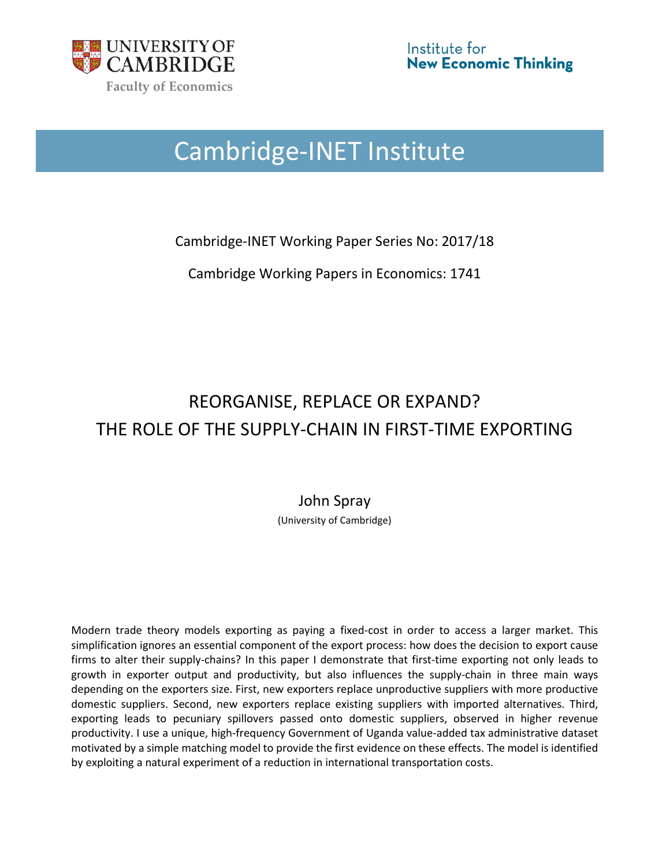

# Cambridge-INET Institute

Cambridge-INET Working Paper Series No: 2017/18

Cambridge Working Papers in Economics: 1741

## REORGANISE, REPLACE OR EXPAND? THE ROLE OF THE SUPPLY-CHAIN IN FIRST-TIME EXPORTING

## John Spray

(University of Cambridge)

Modern trade theory models exporting as paying a fixed-cost in order to access a larger market. This simplification ignores an essential component of the export process: how does the decision to export cause firms to alter their supply-chains? In this paper I demonstrate that first-time exporting not only leads to growth in exporter output and productivity, but also influences the supply-chain in three main ways depending on the exporters size. First, new exporters replace unproductive suppliers with more productive domestic suppliers. Second, new exporters replace existing suppliers with imported alternatives. Third, exporting leads to pecuniary spillovers passed onto domestic suppliers, observed in higher revenue productivity. I use a unique, high-frequency Government of Uganda value-added tax administrative dataset motivated by a simple matching model to provide the first evidence on these effects. The model is identified by exploiting a natural experiment of a reduction in international transportation costs.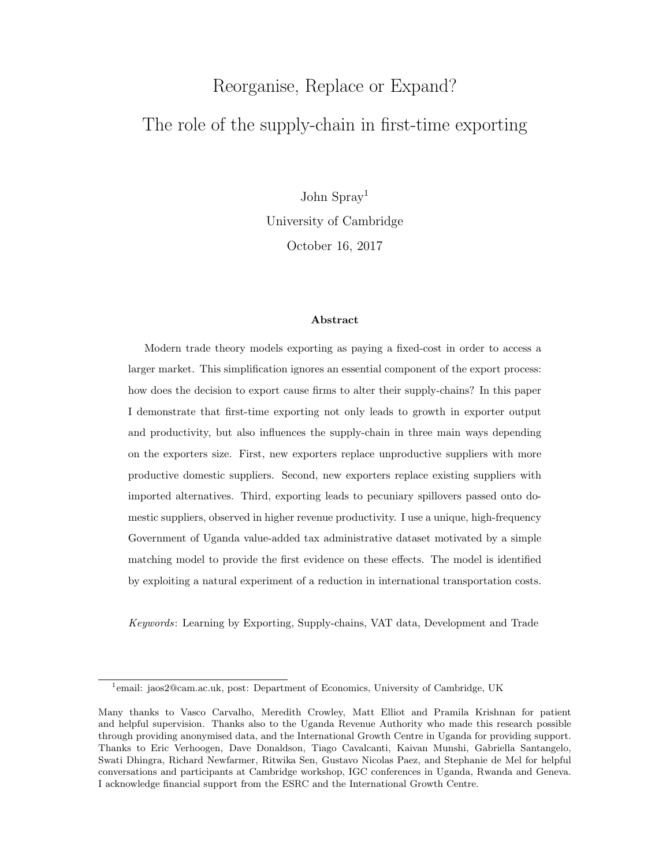# Reorganise, Replace or Expand? The role of the supply-chain in first-time exporting

John Spray[1](#page-1-0) University of Cambridge October 16, 2017

#### Abstract

Modern trade theory models exporting as paying a fixed-cost in order to access a larger market. This simplification ignores an essential component of the export process: how does the decision to export cause firms to alter their supply-chains? In this paper I demonstrate that first-time exporting not only leads to growth in exporter output and productivity, but also influences the supply-chain in three main ways depending on the exporters size. First, new exporters replace unproductive suppliers with more productive domestic suppliers. Second, new exporters replace existing suppliers with imported alternatives. Third, exporting leads to pecuniary spillovers passed onto domestic suppliers, observed in higher revenue productivity. I use a unique, high-frequency Government of Uganda value-added tax administrative dataset motivated by a simple matching model to provide the first evidence on these effects. The model is identified by exploiting a natural experiment of a reduction in international transportation costs.

Keywords: Learning by Exporting, Supply-chains, VAT data, Development and Trade

<span id="page-1-0"></span><sup>&</sup>lt;sup>1</sup>email: jaos2@cam.ac.uk, post: Department of Economics, University of Cambridge, UK

Many thanks to Vasco Carvalho, Meredith Crowley, Matt Elliot and Pramila Krishnan for patient and helpful supervision. Thanks also to the Uganda Revenue Authority who made this research possible through providing anonymised data, and the International Growth Centre in Uganda for providing support. Thanks to Eric Verhoogen, Dave Donaldson, Tiago Cavalcanti, Kaivan Munshi, Gabriella Santangelo, Swati Dhingra, Richard Newfarmer, Ritwika Sen, Gustavo Nicolas Paez, and Stephanie de Mel for helpful conversations and participants at Cambridge workshop, IGC conferences in Uganda, Rwanda and Geneva. I acknowledge financial support from the ESRC and the International Growth Centre.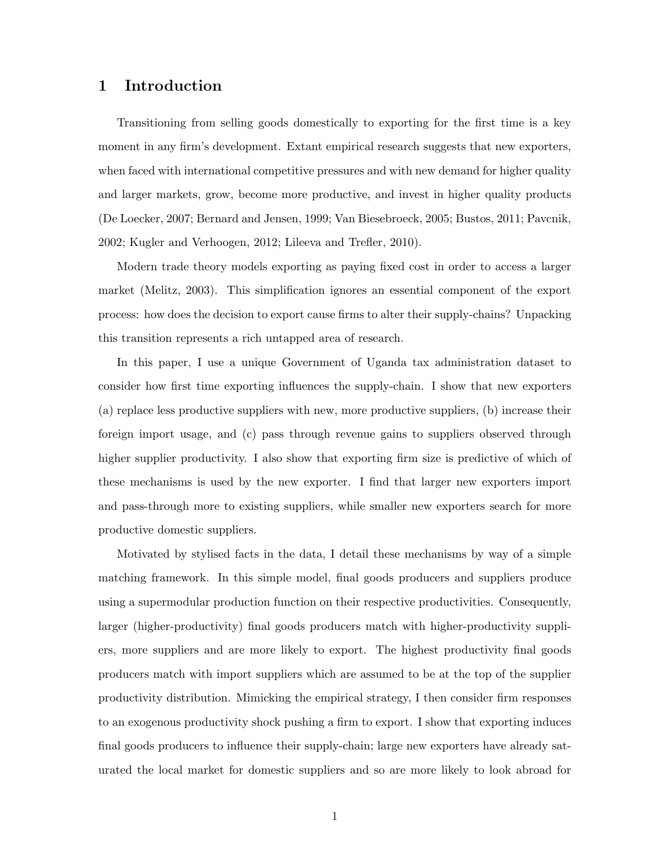## 1 Introduction

Transitioning from selling goods domestically to exporting for the first time is a key moment in any firm's development. Extant empirical research suggests that new exporters, when faced with international competitive pressures and with new demand for higher quality and larger markets, grow, become more productive, and invest in higher quality products [\(De Loecker,](#page-34-0) [2007;](#page-34-0) [Bernard and Jensen,](#page-32-0) [1999;](#page-32-0) [Van Biesebroeck,](#page-32-1) [2005;](#page-32-1) [Bustos,](#page-33-0) [2011;](#page-33-0) [Pavcnik,](#page-35-0) [2002;](#page-35-0) [Kugler and Verhoogen,](#page-34-1) [2012;](#page-34-1) [Lileeva and Trefler,](#page-34-2) [2010\)](#page-34-2).

Modern trade theory models exporting as paying fixed cost in order to access a larger market [\(Melitz,](#page-35-1) [2003\)](#page-35-1). This simplification ignores an essential component of the export process: how does the decision to export cause firms to alter their supply-chains? Unpacking this transition represents a rich untapped area of research.

In this paper, I use a unique Government of Uganda tax administration dataset to consider how first time exporting influences the supply-chain. I show that new exporters (a) replace less productive suppliers with new, more productive suppliers, (b) increase their foreign import usage, and (c) pass through revenue gains to suppliers observed through higher supplier productivity. I also show that exporting firm size is predictive of which of these mechanisms is used by the new exporter. I find that larger new exporters import and pass-through more to existing suppliers, while smaller new exporters search for more productive domestic suppliers.

Motivated by stylised facts in the data, I detail these mechanisms by way of a simple matching framework. In this simple model, final goods producers and suppliers produce using a supermodular production function on their respective productivities. Consequently, larger (higher-productivity) final goods producers match with higher-productivity suppliers, more suppliers and are more likely to export. The highest productivity final goods producers match with import suppliers which are assumed to be at the top of the supplier productivity distribution. Mimicking the empirical strategy, I then consider firm responses to an exogenous productivity shock pushing a firm to export. I show that exporting induces final goods producers to influence their supply-chain; large new exporters have already saturated the local market for domestic suppliers and so are more likely to look abroad for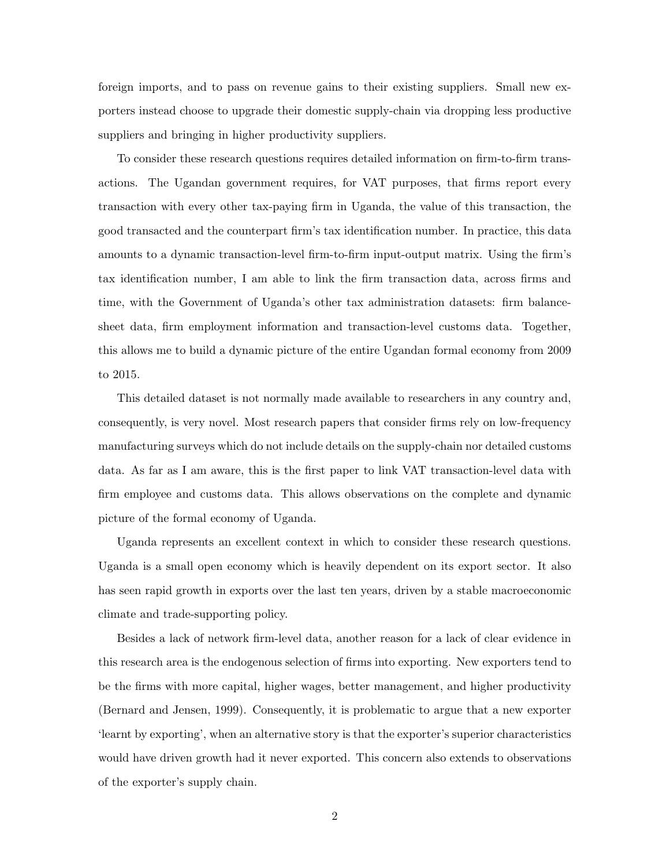foreign imports, and to pass on revenue gains to their existing suppliers. Small new exporters instead choose to upgrade their domestic supply-chain via dropping less productive suppliers and bringing in higher productivity suppliers.

To consider these research questions requires detailed information on firm-to-firm transactions. The Ugandan government requires, for VAT purposes, that firms report every transaction with every other tax-paying firm in Uganda, the value of this transaction, the good transacted and the counterpart firm's tax identification number. In practice, this data amounts to a dynamic transaction-level firm-to-firm input-output matrix. Using the firm's tax identification number, I am able to link the firm transaction data, across firms and time, with the Government of Uganda's other tax administration datasets: firm balancesheet data, firm employment information and transaction-level customs data. Together, this allows me to build a dynamic picture of the entire Ugandan formal economy from 2009 to 2015.

This detailed dataset is not normally made available to researchers in any country and, consequently, is very novel. Most research papers that consider firms rely on low-frequency manufacturing surveys which do not include details on the supply-chain nor detailed customs data. As far as I am aware, this is the first paper to link VAT transaction-level data with firm employee and customs data. This allows observations on the complete and dynamic picture of the formal economy of Uganda.

Uganda represents an excellent context in which to consider these research questions. Uganda is a small open economy which is heavily dependent on its export sector. It also has seen rapid growth in exports over the last ten years, driven by a stable macroeconomic climate and trade-supporting policy.

Besides a lack of network firm-level data, another reason for a lack of clear evidence in this research area is the endogenous selection of firms into exporting. New exporters tend to be the firms with more capital, higher wages, better management, and higher productivity [\(Bernard and Jensen,](#page-32-0) [1999\)](#page-32-0). Consequently, it is problematic to argue that a new exporter 'learnt by exporting', when an alternative story is that the exporter's superior characteristics would have driven growth had it never exported. This concern also extends to observations of the exporter's supply chain.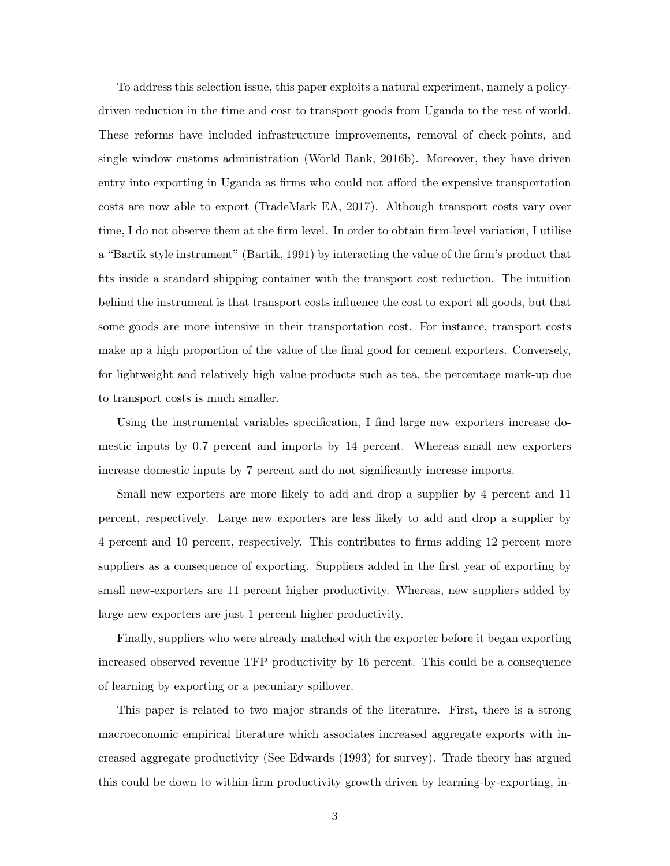To address this selection issue, this paper exploits a natural experiment, namely a policydriven reduction in the time and cost to transport goods from Uganda to the rest of world. These reforms have included infrastructure improvements, removal of check-points, and single window customs administration [\(World Bank,](#page-36-0) [2016b\)](#page-36-0). Moreover, they have driven entry into exporting in Uganda as firms who could not afford the expensive transportation costs are now able to export [\(TradeMark EA,](#page-35-2) [2017\)](#page-35-2). Although transport costs vary over time, I do not observe them at the firm level. In order to obtain firm-level variation, I utilise a "Bartik style instrument" [\(Bartik,](#page-32-2) [1991\)](#page-32-2) by interacting the value of the firm's product that fits inside a standard shipping container with the transport cost reduction. The intuition behind the instrument is that transport costs influence the cost to export all goods, but that some goods are more intensive in their transportation cost. For instance, transport costs make up a high proportion of the value of the final good for cement exporters. Conversely, for lightweight and relatively high value products such as tea, the percentage mark-up due to transport costs is much smaller.

Using the instrumental variables specification, I find large new exporters increase domestic inputs by 0.7 percent and imports by 14 percent. Whereas small new exporters increase domestic inputs by 7 percent and do not significantly increase imports.

Small new exporters are more likely to add and drop a supplier by 4 percent and 11 percent, respectively. Large new exporters are less likely to add and drop a supplier by 4 percent and 10 percent, respectively. This contributes to firms adding 12 percent more suppliers as a consequence of exporting. Suppliers added in the first year of exporting by small new-exporters are 11 percent higher productivity. Whereas, new suppliers added by large new exporters are just 1 percent higher productivity.

Finally, suppliers who were already matched with the exporter before it began exporting increased observed revenue TFP productivity by 16 percent. This could be a consequence of learning by exporting or a pecuniary spillover.

This paper is related to two major strands of the literature. First, there is a strong macroeconomic empirical literature which associates increased aggregate exports with increased aggregate productivity (See [Edwards](#page-33-1) [\(1993\)](#page-33-1) for survey). Trade theory has argued this could be down to within-firm productivity growth driven by learning-by-exporting, in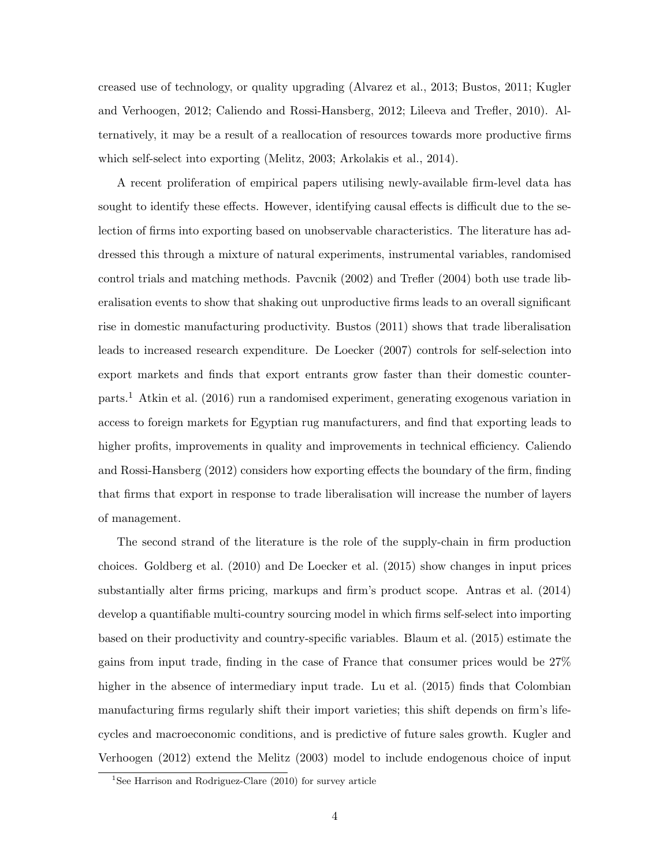creased use of technology, or quality upgrading [\(Alvarez et al.,](#page-32-3) [2013;](#page-32-3) [Bustos,](#page-33-0) [2011;](#page-33-0) [Kugler](#page-34-1) [and Verhoogen,](#page-34-1) [2012;](#page-34-1) [Caliendo and Rossi-Hansberg,](#page-33-2) [2012;](#page-33-2) [Lileeva and Trefler,](#page-34-2) [2010\)](#page-34-2). Alternatively, it may be a result of a reallocation of resources towards more productive firms which self-select into exporting [\(Melitz,](#page-35-1) [2003;](#page-35-1) [Arkolakis et al.,](#page-32-4) [2014\)](#page-32-4).

A recent proliferation of empirical papers utilising newly-available firm-level data has sought to identify these effects. However, identifying causal effects is difficult due to the selection of firms into exporting based on unobservable characteristics. The literature has addressed this through a mixture of natural experiments, instrumental variables, randomised control trials and matching methods. [Pavcnik](#page-35-0) [\(2002\)](#page-35-0) and [Trefler](#page-35-3) [\(2004\)](#page-35-3) both use trade liberalisation events to show that shaking out unproductive firms leads to an overall significant rise in domestic manufacturing productivity. [Bustos](#page-33-0) [\(2011\)](#page-33-0) shows that trade liberalisation leads to increased research expenditure. [De Loecker](#page-34-0) [\(2007\)](#page-34-0) controls for self-selection into export markets and finds that export entrants grow faster than their domestic counterparts.[1](#page-5-0) [Atkin et al.](#page-32-5) [\(2016\)](#page-32-5) run a randomised experiment, generating exogenous variation in access to foreign markets for Egyptian rug manufacturers, and find that exporting leads to higher profits, improvements in quality and improvements in technical efficiency. [Caliendo](#page-33-2) [and Rossi-Hansberg](#page-33-2) [\(2012\)](#page-33-2) considers how exporting effects the boundary of the firm, finding that firms that export in response to trade liberalisation will increase the number of layers of management.

The second strand of the literature is the role of the supply-chain in firm production choices. [Goldberg et al.](#page-34-3) [\(2010\)](#page-34-3) and [De Loecker et al.](#page-35-4) [\(2015\)](#page-35-4) show changes in input prices substantially alter firms pricing, markups and firm's product scope. [Antras et al.](#page-32-6) [\(2014\)](#page-32-6) develop a quantifiable multi-country sourcing model in which firms self-select into importing based on their productivity and country-specific variables. [Blaum et al.](#page-32-7) [\(2015\)](#page-32-7) estimate the gains from input trade, finding in the case of France that consumer prices would be 27% higher in the absence of intermediary input trade. [Lu et al.](#page-35-5) [\(2015\)](#page-35-5) finds that Colombian manufacturing firms regularly shift their import varieties; this shift depends on firm's lifecycles and macroeconomic conditions, and is predictive of future sales growth. [Kugler and](#page-34-1) [Verhoogen](#page-34-1) [\(2012\)](#page-34-1) extend the [Melitz](#page-35-1) [\(2003\)](#page-35-1) model to include endogenous choice of input

<span id="page-5-0"></span><sup>&</sup>lt;sup>1</sup>See [Harrison and Rodriguez-Clare](#page-34-4) [\(2010\)](#page-34-4) for survey article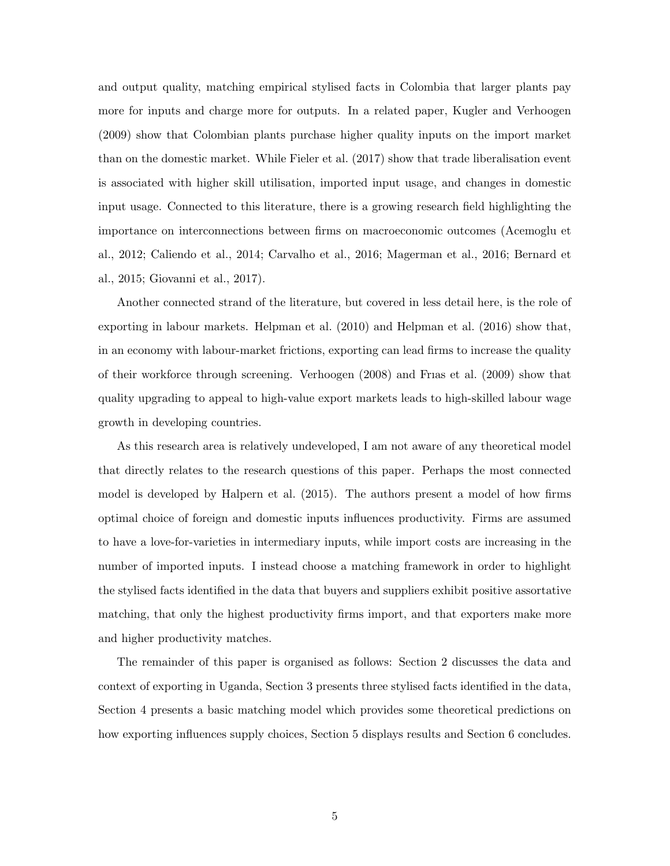and output quality, matching empirical stylised facts in Colombia that larger plants pay more for inputs and charge more for outputs. In a related paper, [Kugler and Verhoogen](#page-34-5) [\(2009\)](#page-34-5) show that Colombian plants purchase higher quality inputs on the import market than on the domestic market. While [Fieler et al.](#page-33-3) [\(2017\)](#page-33-3) show that trade liberalisation event is associated with higher skill utilisation, imported input usage, and changes in domestic input usage. Connected to this literature, there is a growing research field highlighting the importance on interconnections between firms on macroeconomic outcomes [\(Acemoglu et](#page-32-8) [al.,](#page-32-8) [2012;](#page-32-8) [Caliendo et al.,](#page-33-4) [2014;](#page-33-4) [Carvalho et al.,](#page-33-5) [2016;](#page-33-5) [Magerman et al.,](#page-35-6) [2016;](#page-35-6) [Bernard et](#page-32-9) [al.,](#page-32-9) [2015;](#page-32-9) [Giovanni et al.,](#page-33-6) [2017\)](#page-33-6).

Another connected strand of the literature, but covered in less detail here, is the role of exporting in labour markets. [Helpman et al.](#page-34-6) [\(2010\)](#page-34-6) and [Helpman et al.](#page-34-7) [\(2016\)](#page-34-7) show that, in an economy with labour-market frictions, exporting can lead firms to increase the quality of their workforce through screening. [Verhoogen](#page-35-7) [\(2008\)](#page-35-7) and [Frıas et al.](#page-34-8) [\(2009\)](#page-34-8) show that quality upgrading to appeal to high-value export markets leads to high-skilled labour wage growth in developing countries.

As this research area is relatively undeveloped, I am not aware of any theoretical model that directly relates to the research questions of this paper. Perhaps the most connected model is developed by [Halpern et al.](#page-34-9) [\(2015\)](#page-34-9). The authors present a model of how firms optimal choice of foreign and domestic inputs influences productivity. Firms are assumed to have a love-for-varieties in intermediary inputs, while import costs are increasing in the number of imported inputs. I instead choose a matching framework in order to highlight the stylised facts identified in the data that buyers and suppliers exhibit positive assortative matching, that only the highest productivity firms import, and that exporters make more and higher productivity matches.

The remainder of this paper is organised as follows: Section 2 discusses the data and context of exporting in Uganda, Section 3 presents three stylised facts identified in the data, Section 4 presents a basic matching model which provides some theoretical predictions on how exporting influences supply choices, Section 5 displays results and Section 6 concludes.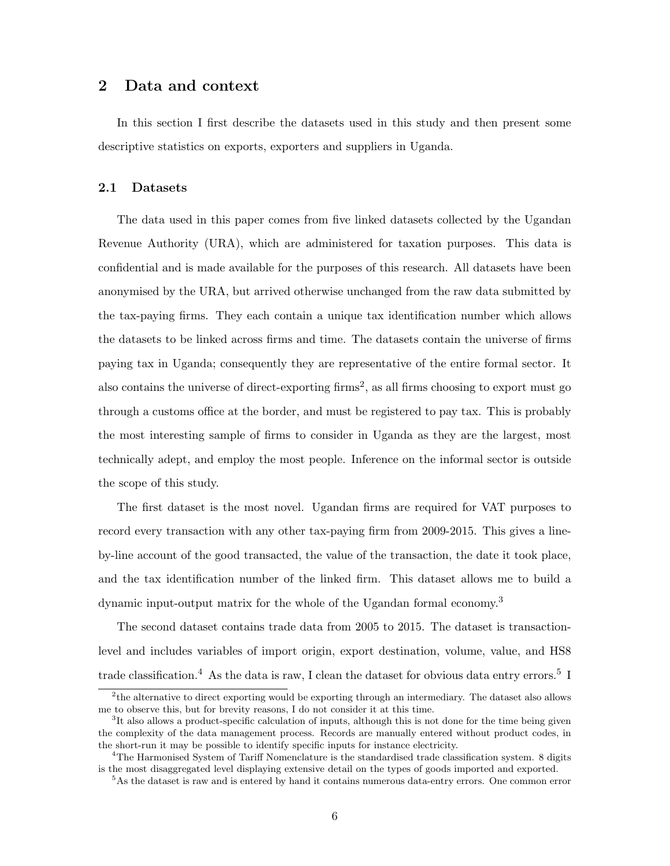## 2 Data and context

In this section I first describe the datasets used in this study and then present some descriptive statistics on exports, exporters and suppliers in Uganda.

#### 2.1 Datasets

The data used in this paper comes from five linked datasets collected by the Ugandan Revenue Authority (URA), which are administered for taxation purposes. This data is confidential and is made available for the purposes of this research. All datasets have been anonymised by the URA, but arrived otherwise unchanged from the raw data submitted by the tax-paying firms. They each contain a unique tax identification number which allows the datasets to be linked across firms and time. The datasets contain the universe of firms paying tax in Uganda; consequently they are representative of the entire formal sector. It also contains the universe of direct-exporting firms<sup>[2](#page-7-0)</sup>, as all firms choosing to export must go through a customs office at the border, and must be registered to pay tax. This is probably the most interesting sample of firms to consider in Uganda as they are the largest, most technically adept, and employ the most people. Inference on the informal sector is outside the scope of this study.

The first dataset is the most novel. Ugandan firms are required for VAT purposes to record every transaction with any other tax-paying firm from 2009-2015. This gives a lineby-line account of the good transacted, the value of the transaction, the date it took place, and the tax identification number of the linked firm. This dataset allows me to build a dynamic input-output matrix for the whole of the Ugandan formal economy.[3](#page-7-1)

The second dataset contains trade data from 2005 to 2015. The dataset is transactionlevel and includes variables of import origin, export destination, volume, value, and HS8 trade classification.<sup>[4](#page-7-2)</sup> As the data is raw, I clean the dataset for obvious data entry errors.<sup>[5](#page-7-3)</sup> I

<span id="page-7-0"></span><sup>&</sup>lt;sup>2</sup>the alternative to direct exporting would be exporting through an intermediary. The dataset also allows me to observe this, but for brevity reasons, I do not consider it at this time.

<span id="page-7-1"></span><sup>&</sup>lt;sup>3</sup>It also allows a product-specific calculation of inputs, although this is not done for the time being given the complexity of the data management process. Records are manually entered without product codes, in the short-run it may be possible to identify specific inputs for instance electricity.

<span id="page-7-2"></span> $4$ The Harmonised System of Tariff Nomenclature is the standardised trade classification system. 8 digits is the most disaggregated level displaying extensive detail on the types of goods imported and exported.

<span id="page-7-3"></span><sup>5</sup>As the dataset is raw and is entered by hand it contains numerous data-entry errors. One common error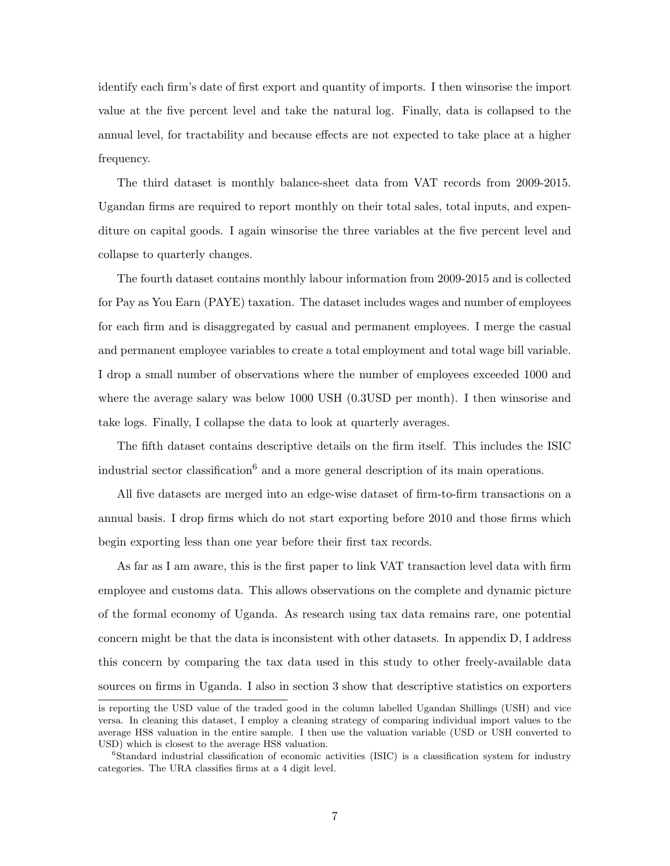identify each firm's date of first export and quantity of imports. I then winsorise the import value at the five percent level and take the natural log. Finally, data is collapsed to the annual level, for tractability and because effects are not expected to take place at a higher frequency.

The third dataset is monthly balance-sheet data from VAT records from 2009-2015. Ugandan firms are required to report monthly on their total sales, total inputs, and expenditure on capital goods. I again winsorise the three variables at the five percent level and collapse to quarterly changes.

The fourth dataset contains monthly labour information from 2009-2015 and is collected for Pay as You Earn (PAYE) taxation. The dataset includes wages and number of employees for each firm and is disaggregated by casual and permanent employees. I merge the casual and permanent employee variables to create a total employment and total wage bill variable. I drop a small number of observations where the number of employees exceeded 1000 and where the average salary was below 1000 USH (0.3USD per month). I then winsorise and take logs. Finally, I collapse the data to look at quarterly averages.

The fifth dataset contains descriptive details on the firm itself. This includes the ISIC industrial sector classification<sup>[6](#page-8-0)</sup> and a more general description of its main operations.

All five datasets are merged into an edge-wise dataset of firm-to-firm transactions on a annual basis. I drop firms which do not start exporting before 2010 and those firms which begin exporting less than one year before their first tax records.

As far as I am aware, this is the first paper to link VAT transaction level data with firm employee and customs data. This allows observations on the complete and dynamic picture of the formal economy of Uganda. As research using tax data remains rare, one potential concern might be that the data is inconsistent with other datasets. In appendix [D,](#page-48-0) I address this concern by comparing the tax data used in this study to other freely-available data sources on firms in Uganda. I also in section [3](#page-11-0) show that descriptive statistics on exporters

is reporting the USD value of the traded good in the column labelled Ugandan Shillings (USH) and vice versa. In cleaning this dataset, I employ a cleaning strategy of comparing individual import values to the average HS8 valuation in the entire sample. I then use the valuation variable (USD or USH converted to USD) which is closest to the average HS8 valuation.

<span id="page-8-0"></span><sup>&</sup>lt;sup>6</sup>Standard industrial classification of economic activities (ISIC) is a classification system for industry categories. The URA classifies firms at a 4 digit level.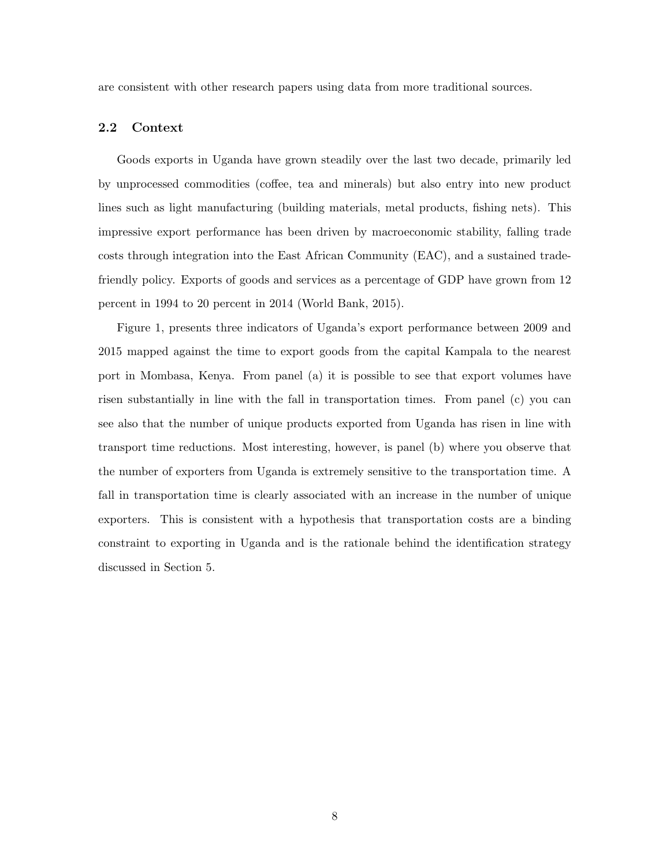are consistent with other research papers using data from more traditional sources.

#### 2.2 Context

Goods exports in Uganda have grown steadily over the last two decade, primarily led by unprocessed commodities (coffee, tea and minerals) but also entry into new product lines such as light manufacturing (building materials, metal products, fishing nets). This impressive export performance has been driven by macroeconomic stability, falling trade costs through integration into the East African Community (EAC), and a sustained tradefriendly policy. Exports of goods and services as a percentage of GDP have grown from 12 percent in 1994 to 20 percent in 2014 (World Bank, 2015).

Figure [1,](#page-10-0) presents three indicators of Uganda's export performance between 2009 and 2015 mapped against the time to export goods from the capital Kampala to the nearest port in Mombasa, Kenya. From panel (a) it is possible to see that export volumes have risen substantially in line with the fall in transportation times. From panel (c) you can see also that the number of unique products exported from Uganda has risen in line with transport time reductions. Most interesting, however, is panel (b) where you observe that the number of exporters from Uganda is extremely sensitive to the transportation time. A fall in transportation time is clearly associated with an increase in the number of unique exporters. This is consistent with a hypothesis that transportation costs are a binding constraint to exporting in Uganda and is the rationale behind the identification strategy discussed in Section [5.](#page-23-0)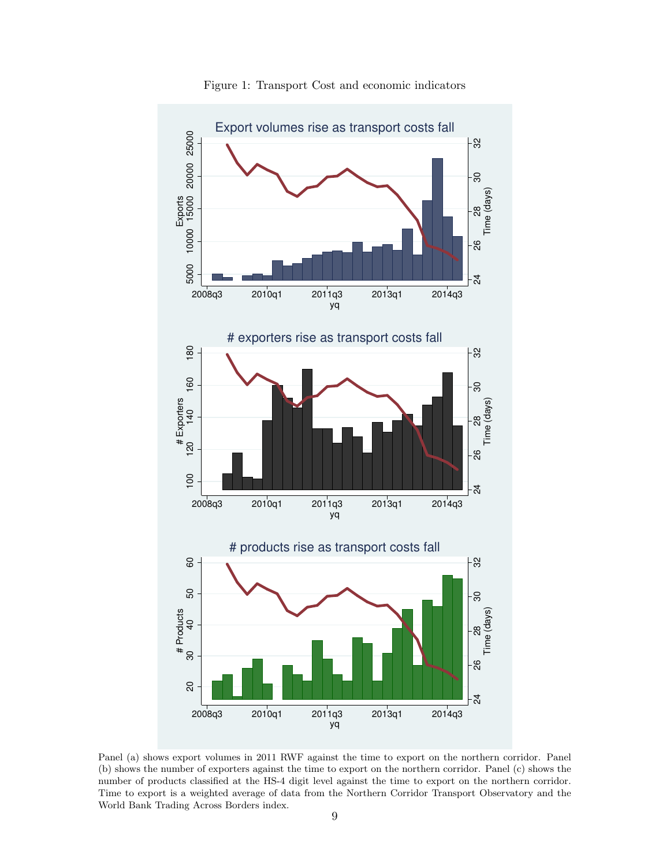<span id="page-10-0"></span>

Figure 1: Transport Cost and economic indicators

Panel (a) shows export volumes in 2011 RWF against the time to export on the northern corridor. Panel (b) shows the number of exporters against the time to export on the northern corridor. Panel (c) shows the number of products classified at the HS-4 digit level against the time to export on the northern corridor. Time to export is a weighted average of data from the Northern Corridor Transport Observatory and the World Bank Trading Across Borders index.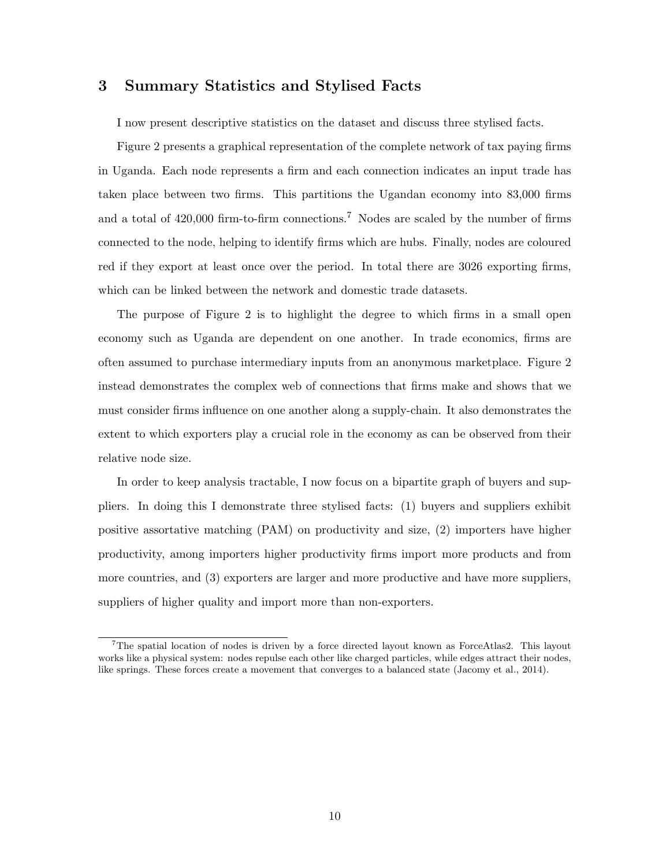## <span id="page-11-0"></span>3 Summary Statistics and Stylised Facts

I now present descriptive statistics on the dataset and discuss three stylised facts.

Figure [2](#page-12-0) presents a graphical representation of the complete network of tax paying firms in Uganda. Each node represents a firm and each connection indicates an input trade has taken place between two firms. This partitions the Ugandan economy into 83,000 firms and a total of  $420,000$  firm-to-firm connections.<sup>[7](#page-11-1)</sup> Nodes are scaled by the number of firms connected to the node, helping to identify firms which are hubs. Finally, nodes are coloured red if they export at least once over the period. In total there are 3026 exporting firms, which can be linked between the network and domestic trade datasets.

The purpose of Figure [2](#page-12-0) is to highlight the degree to which firms in a small open economy such as Uganda are dependent on one another. In trade economics, firms are often assumed to purchase intermediary inputs from an anonymous marketplace. Figure [2](#page-12-0) instead demonstrates the complex web of connections that firms make and shows that we must consider firms influence on one another along a supply-chain. It also demonstrates the extent to which exporters play a crucial role in the economy as can be observed from their relative node size.

In order to keep analysis tractable, I now focus on a bipartite graph of buyers and suppliers. In doing this I demonstrate three stylised facts: (1) buyers and suppliers exhibit positive assortative matching (PAM) on productivity and size, (2) importers have higher productivity, among importers higher productivity firms import more products and from more countries, and (3) exporters are larger and more productive and have more suppliers, suppliers of higher quality and import more than non-exporters.

<span id="page-11-1"></span><sup>7</sup>The spatial location of nodes is driven by a force directed layout known as ForceAtlas2. This layout works like a physical system: nodes repulse each other like charged particles, while edges attract their nodes, like springs. These forces create a movement that converges to a balanced state [\(Jacomy et al.,](#page-34-10) [2014\)](#page-34-10).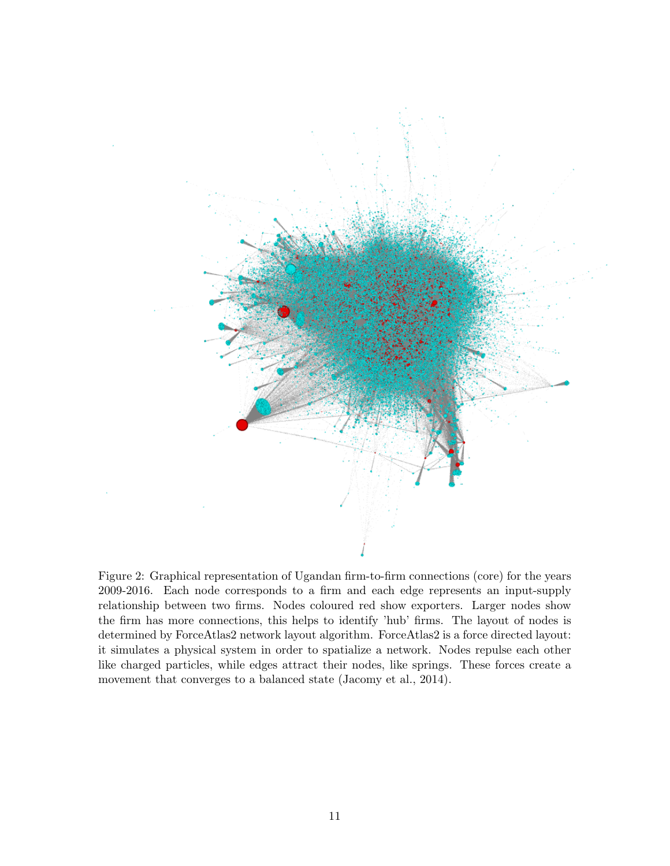<span id="page-12-0"></span>

Figure 2: Graphical representation of Ugandan firm-to-firm connections (core) for the years 2009-2016. Each node corresponds to a firm and each edge represents an input-supply relationship between two firms. Nodes coloured red show exporters. Larger nodes show the firm has more connections, this helps to identify 'hub' firms. The layout of nodes is determined by ForceAtlas2 network layout algorithm. ForceAtlas2 is a force directed layout: it simulates a physical system in order to spatialize a network. Nodes repulse each other like charged particles, while edges attract their nodes, like springs. These forces create a movement that converges to a balanced state [\(Jacomy et al.,](#page-34-10) [2014\)](#page-34-10).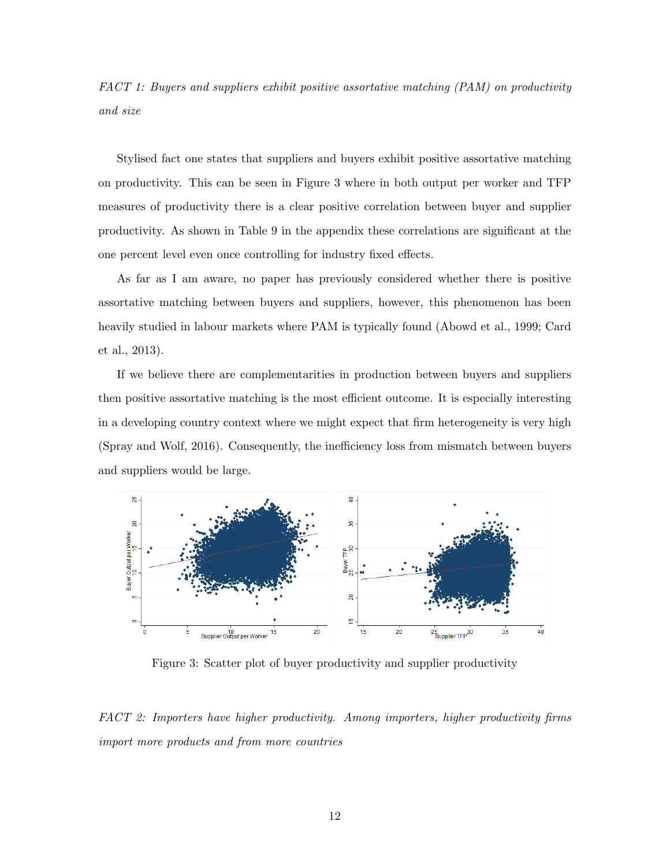FACT 1: Buyers and suppliers exhibit positive assortative matching (PAM) on productivity and size

Stylised fact one states that suppliers and buyers exhibit positive assortative matching on productivity. This can be seen in Figure [3](#page-13-0) where in both output per worker and TFP measures of productivity there is a clear positive correlation between buyer and supplier productivity. As shown in Table [9](#page-50-0) in the appendix these correlations are significant at the one percent level even once controlling for industry fixed effects.

As far as I am aware, no paper has previously considered whether there is positive assortative matching between buyers and suppliers, however, this phenomenon has been heavily studied in labour markets where PAM is typically found [\(Abowd et al.,](#page-32-10) [1999;](#page-32-10) [Card](#page-33-7) [et al.,](#page-33-7) [2013\)](#page-33-7).

If we believe there are complementarities in production between buyers and suppliers then positive assortative matching is the most efficient outcome. It is especially interesting in a developing country context where we might expect that firm heterogeneity is very high [\(Spray and Wolf,](#page-35-8) [2016\)](#page-35-8). Consequently, the inefficiency loss from mismatch between buyers and suppliers would be large.

<span id="page-13-0"></span>

Figure 3: Scatter plot of buyer productivity and supplier productivity

FACT 2: Importers have higher productivity. Among importers, higher productivity firms import more products and from more countries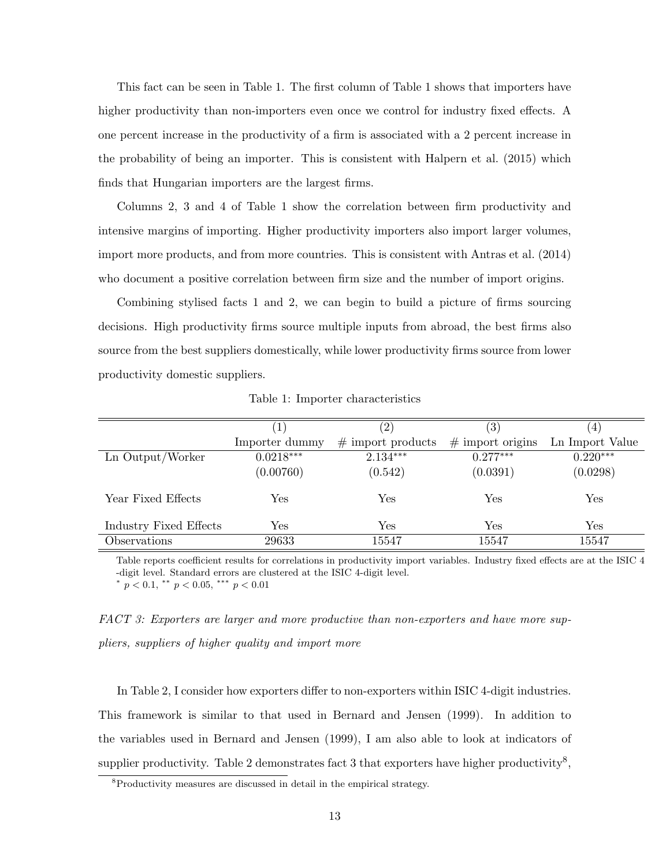This fact can be seen in Table [1.](#page-14-0) The first column of Table [1](#page-14-0) shows that importers have higher productivity than non-importers even once we control for industry fixed effects. A one percent increase in the productivity of a firm is associated with a 2 percent increase in the probability of being an importer. This is consistent with [Halpern et al.](#page-34-9) [\(2015\)](#page-34-9) which finds that Hungarian importers are the largest firms.

Columns 2, 3 and 4 of Table [1](#page-14-0) show the correlation between firm productivity and intensive margins of importing. Higher productivity importers also import larger volumes, import more products, and from more countries. This is consistent with [Antras et al.](#page-32-6) [\(2014\)](#page-32-6) who document a positive correlation between firm size and the number of import origins.

Combining stylised facts 1 and 2, we can begin to build a picture of firms sourcing decisions. High productivity firms source multiple inputs from abroad, the best firms also source from the best suppliers domestically, while lower productivity firms source from lower productivity domestic suppliers.

<span id="page-14-0"></span>

|                        |                | $^{\prime}2)$       | $\left( 3\right)$    | $\left( 4\right)$ |
|------------------------|----------------|---------------------|----------------------|-------------------|
|                        | Importer dummy | $#$ import products | $\#$ import origins  | Ln Import Value   |
| Ln Output/Worker       | $0.0218***$    | $2.134***$          | $0.277***$           | $0.220***$        |
|                        | (0.00760)      | (0.542)             | (0.0391)             | (0.0298)          |
| Year Fixed Effects     | Yes            | Yes                 | $\operatorname{Yes}$ | ${\rm Yes}$       |
| Industry Fixed Effects | Yes            | Yes                 | Yes                  | Yes               |
| Observations           | 29633          | 15547               | 15547                | 15547             |

Table 1: Importer characteristics

Table reports coefficient results for correlations in productivity import variables. Industry fixed effects are at the ISIC 4 -digit level. Standard errors are clustered at the ISIC 4-digit level.

\*  $p < 0.1$ , \*\*  $p < 0.05$ , \*\*\*  $p < 0.01$ 

FACT 3: Exporters are larger and more productive than non-exporters and have more suppliers, suppliers of higher quality and import more

In Table [2,](#page-15-0) I consider how exporters differ to non-exporters within ISIC 4-digit industries. This framework is similar to that used in [Bernard and Jensen](#page-32-0) [\(1999\)](#page-32-0). In addition to the variables used in [Bernard and Jensen](#page-32-0) [\(1999\)](#page-32-0), I am also able to look at indicators of supplier productivity. Table [2](#page-15-0) demonstrates fact 3 that exporters have higher productivity<sup>[8](#page-14-1)</sup>,

<span id="page-14-1"></span><sup>&</sup>lt;sup>8</sup>Productivity measures are discussed in detail in the empirical strategy.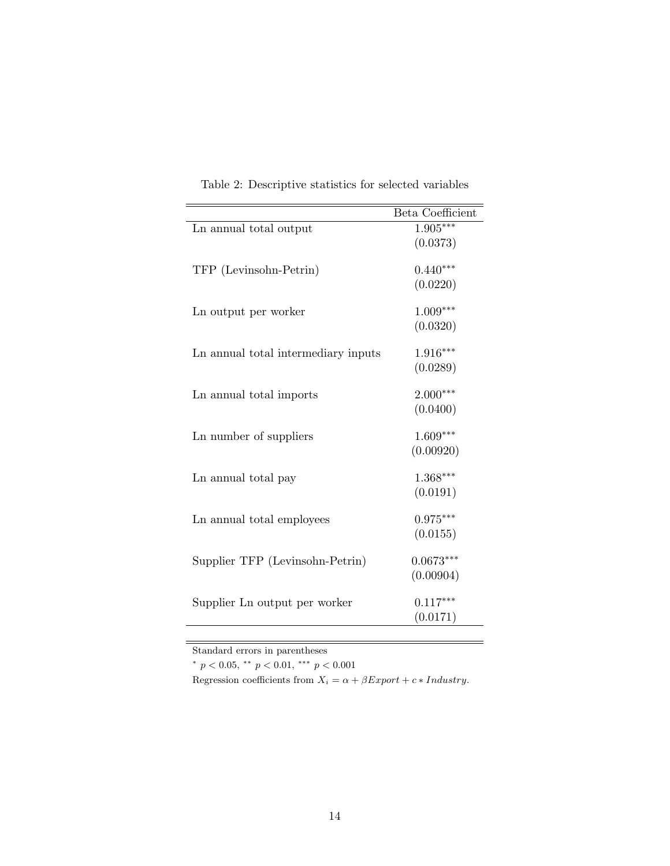<span id="page-15-0"></span>

|                                     | Beta Coefficient |
|-------------------------------------|------------------|
| Ln annual total output              | $1.905***$       |
|                                     | (0.0373)         |
| TFP (Levinsohn-Petrin)              | $0.440***$       |
|                                     | (0.0220)         |
| Ln output per worker                | $1.009***$       |
|                                     | (0.0320)         |
| Ln annual total intermediary inputs | $1.916***$       |
|                                     | (0.0289)         |
| Ln annual total imports             | $2.000***$       |
|                                     | (0.0400)         |
| Ln number of suppliers              | $1.609***$       |
|                                     | (0.00920)        |
| Ln annual total pay                 | $1.368***$       |
|                                     | (0.0191)         |
| Ln annual total employees           | $0.975***$       |
|                                     | (0.0155)         |
| Supplier TFP (Levinsohn-Petrin)     | $0.0673***$      |
|                                     | (0.00904)        |
| Supplier Ln output per worker       | $0.117***$       |
|                                     | (0.0171)         |

Table 2: Descriptive statistics for selected variables

Standard errors in parentheses

\*  $p < 0.05$ , \*\*  $p < 0.01$ , \*\*\*  $p < 0.001$ 

Regression coefficients from  $X_i = \alpha + \beta Export + c * Industry$ .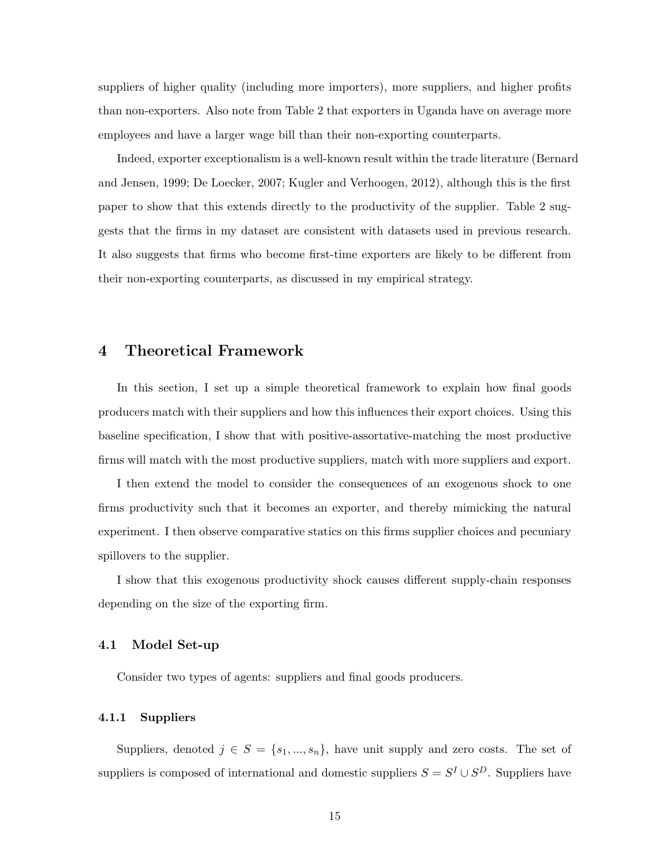suppliers of higher quality (including more importers), more suppliers, and higher profits than non-exporters. Also note from Table [2](#page-15-0) that exporters in Uganda have on average more employees and have a larger wage bill than their non-exporting counterparts.

Indeed, exporter exceptionalism is a well-known result within the trade literature [\(Bernard](#page-32-0) [and Jensen,](#page-32-0) [1999;](#page-32-0) [De Loecker,](#page-34-0) [2007;](#page-34-0) [Kugler and Verhoogen,](#page-34-1) [2012\)](#page-34-1), although this is the first paper to show that this extends directly to the productivity of the supplier. Table [2](#page-15-0) suggests that the firms in my dataset are consistent with datasets used in previous research. It also suggests that firms who become first-time exporters are likely to be different from their non-exporting counterparts, as discussed in my empirical strategy.

### 4 Theoretical Framework

In this section, I set up a simple theoretical framework to explain how final goods producers match with their suppliers and how this influences their export choices. Using this baseline specification, I show that with positive-assortative-matching the most productive firms will match with the most productive suppliers, match with more suppliers and export.

I then extend the model to consider the consequences of an exogenous shock to one firms productivity such that it becomes an exporter, and thereby mimicking the natural experiment. I then observe comparative statics on this firms supplier choices and pecuniary spillovers to the supplier.

I show that this exogenous productivity shock causes different supply-chain responses depending on the size of the exporting firm.

#### 4.1 Model Set-up

Consider two types of agents: suppliers and final goods producers.

#### 4.1.1 Suppliers

Suppliers, denoted  $j \in S = \{s_1, ..., s_n\}$ , have unit supply and zero costs. The set of suppliers is composed of international and domestic suppliers  $S = S<sup>I</sup> \cup S<sup>D</sup>$ . Suppliers have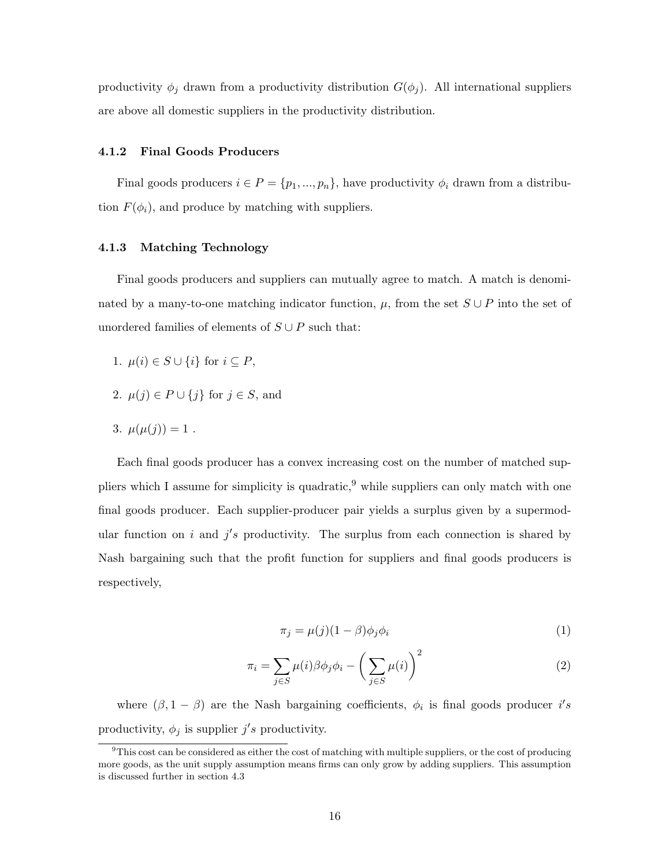productivity  $\phi_j$  drawn from a productivity distribution  $G(\phi_j)$ . All international suppliers are above all domestic suppliers in the productivity distribution.

#### 4.1.2 Final Goods Producers

Final goods producers  $i \in P = \{p_1, ..., p_n\}$ , have productivity  $\phi_i$  drawn from a distribution  $F(\phi_i)$ , and produce by matching with suppliers.

#### 4.1.3 Matching Technology

Final goods producers and suppliers can mutually agree to match. A match is denominated by a many-to-one matching indicator function,  $\mu$ , from the set  $S \cup P$  into the set of unordered families of elements of  $S \cup P$  such that:

- 1.  $\mu(i) \in S \cup \{i\}$  for  $i \subseteq P$ ,
- 2.  $\mu(j) \in P \cup \{j\}$  for  $j \in S$ , and
- 3.  $\mu(\mu(j)) = 1$ .

Each final goods producer has a convex increasing cost on the number of matched suppliers which I assume for simplicity is quadratic,  $9$  while suppliers can only match with one final goods producer. Each supplier-producer pair yields a surplus given by a supermodular function on i and  $j's$  productivity. The surplus from each connection is shared by Nash bargaining such that the profit function for suppliers and final goods producers is respectively,

$$
\pi_j = \mu(j)(1-\beta)\phi_j\phi_i \tag{1}
$$

$$
\pi_i = \sum_{j \in S} \mu(i) \beta \phi_j \phi_i - \left(\sum_{j \in S} \mu(i)\right)^2 \tag{2}
$$

where  $(\beta, 1 - \beta)$  are the Nash bargaining coefficients,  $\phi_i$  is final goods producer i's productivity,  $\phi_j$  is supplier  $j's$  productivity.

<span id="page-17-0"></span> $9$ This cost can be considered as either the cost of matching with multiple suppliers, or the cost of producing more goods, as the unit supply assumption means firms can only grow by adding suppliers. This assumption is discussed further in section [4.3](#page-18-0)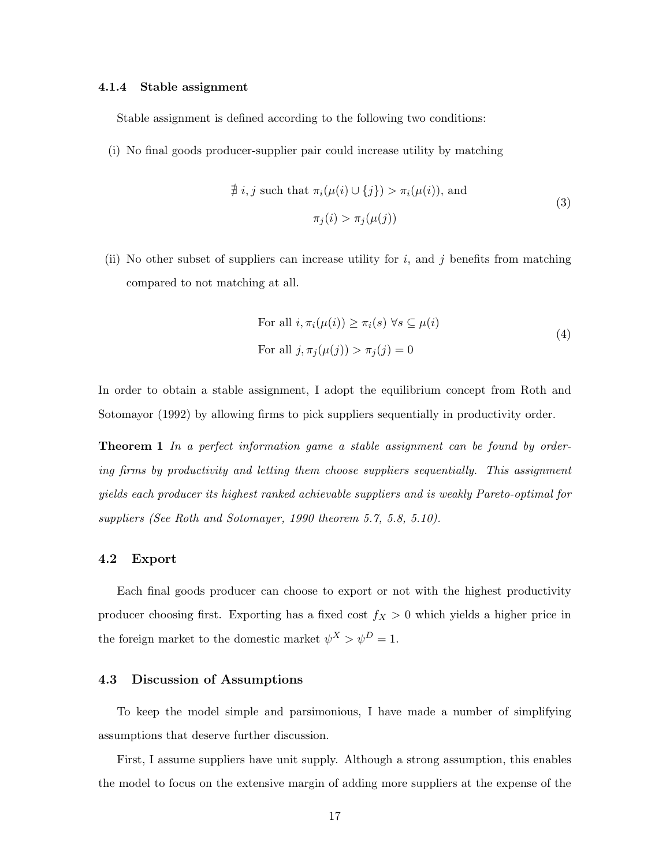#### 4.1.4 Stable assignment

Stable assignment is defined according to the following two conditions:

(i) No final goods producer-supplier pair could increase utility by matching

$$
\nexists i, j \text{ such that } \pi_i(\mu(i) \cup \{j\}) > \pi_i(\mu(i)), \text{ and}
$$
  
\n
$$
\pi_j(i) > \pi_j(\mu(j))
$$
\n(3)

(ii) No other subset of suppliers can increase utility for i, and j benefits from matching compared to not matching at all.

For all 
$$
i, \pi_i(\mu(i)) \ge \pi_i(s) \,\forall s \subseteq \mu(i)
$$
  
For all  $j, \pi_j(\mu(j)) > \pi_j(j) = 0$  
$$
(4)
$$

In order to obtain a stable assignment, I adopt the equilibrium concept from [Roth and](#page-35-9) [Sotomayor](#page-35-9) [\(1992\)](#page-35-9) by allowing firms to pick suppliers sequentially in productivity order.

**Theorem 1** In a perfect information game a stable assignment can be found by ordering firms by productivity and letting them choose suppliers sequentially. This assignment yields each producer its highest ranked achievable suppliers and is weakly Pareto-optimal for suppliers (See Roth and Sotomayer, 1990 theorem 5.7, 5.8, 5.10).

#### 4.2 Export

Each final goods producer can choose to export or not with the highest productivity producer choosing first. Exporting has a fixed cost  $f_X > 0$  which yields a higher price in the foreign market to the domestic market  $\psi^X > \psi^D = 1$ .

#### <span id="page-18-0"></span>4.3 Discussion of Assumptions

To keep the model simple and parsimonious, I have made a number of simplifying assumptions that deserve further discussion.

First, I assume suppliers have unit supply. Although a strong assumption, this enables the model to focus on the extensive margin of adding more suppliers at the expense of the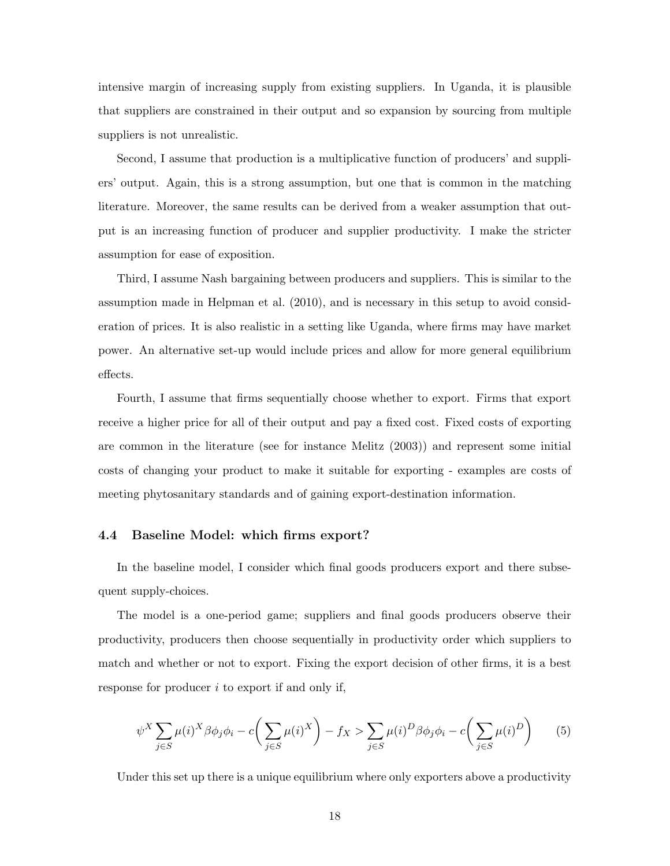intensive margin of increasing supply from existing suppliers. In Uganda, it is plausible that suppliers are constrained in their output and so expansion by sourcing from multiple suppliers is not unrealistic.

Second, I assume that production is a multiplicative function of producers' and suppliers' output. Again, this is a strong assumption, but one that is common in the matching literature. Moreover, the same results can be derived from a weaker assumption that output is an increasing function of producer and supplier productivity. I make the stricter assumption for ease of exposition.

Third, I assume Nash bargaining between producers and suppliers. This is similar to the assumption made in [Helpman et al.](#page-34-6) [\(2010\)](#page-34-6), and is necessary in this setup to avoid consideration of prices. It is also realistic in a setting like Uganda, where firms may have market power. An alternative set-up would include prices and allow for more general equilibrium effects.

Fourth, I assume that firms sequentially choose whether to export. Firms that export receive a higher price for all of their output and pay a fixed cost. Fixed costs of exporting are common in the literature (see for instance [Melitz](#page-35-1) [\(2003\)](#page-35-1)) and represent some initial costs of changing your product to make it suitable for exporting - examples are costs of meeting phytosanitary standards and of gaining export-destination information.

#### 4.4 Baseline Model: which firms export?

In the baseline model, I consider which final goods producers export and there subsequent supply-choices.

The model is a one-period game; suppliers and final goods producers observe their productivity, producers then choose sequentially in productivity order which suppliers to match and whether or not to export. Fixing the export decision of other firms, it is a best response for producer i to export if and only if,

$$
\psi^X \sum_{j \in S} \mu(i)^X \beta \phi_j \phi_i - c \left( \sum_{j \in S} \mu(i)^X \right) - f_X > \sum_{j \in S} \mu(i)^D \beta \phi_j \phi_i - c \left( \sum_{j \in S} \mu(i)^D \right) \tag{5}
$$

Under this set up there is a unique equilibrium where only exporters above a productivity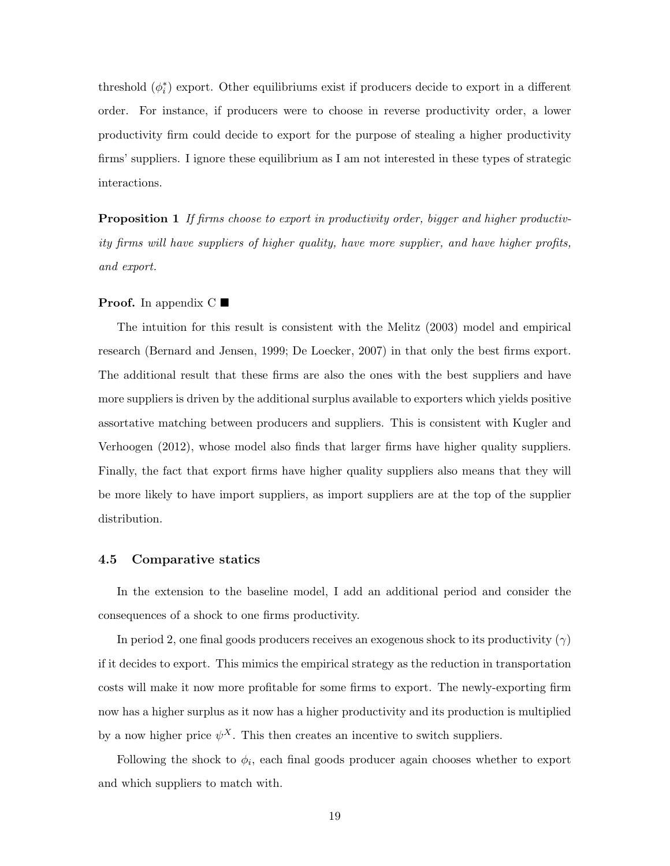threshold  $(\phi_i^*)$  export. Other equilibriums exist if producers decide to export in a different order. For instance, if producers were to choose in reverse productivity order, a lower productivity firm could decide to export for the purpose of stealing a higher productivity firms' suppliers. I ignore these equilibrium as I am not interested in these types of strategic interactions.

**Proposition 1** If firms choose to export in productivity order, bigger and higher productivity firms will have suppliers of higher quality, have more supplier, and have higher profits, and export.

#### **Proof.** In appendix  $C \blacksquare$  $C \blacksquare$

The intuition for this result is consistent with the [Melitz](#page-35-1) [\(2003\)](#page-35-1) model and empirical research [\(Bernard and Jensen,](#page-32-0) [1999;](#page-32-0) [De Loecker,](#page-34-0) [2007\)](#page-34-0) in that only the best firms export. The additional result that these firms are also the ones with the best suppliers and have more suppliers is driven by the additional surplus available to exporters which yields positive assortative matching between producers and suppliers. This is consistent with [Kugler and](#page-34-1) [Verhoogen](#page-34-1) [\(2012\)](#page-34-1), whose model also finds that larger firms have higher quality suppliers. Finally, the fact that export firms have higher quality suppliers also means that they will be more likely to have import suppliers, as import suppliers are at the top of the supplier distribution.

#### 4.5 Comparative statics

In the extension to the baseline model, I add an additional period and consider the consequences of a shock to one firms productivity.

In period 2, one final goods producers receives an exogenous shock to its productivity  $(\gamma)$ if it decides to export. This mimics the empirical strategy as the reduction in transportation costs will make it now more profitable for some firms to export. The newly-exporting firm now has a higher surplus as it now has a higher productivity and its production is multiplied by a now higher price  $\psi^X$ . This then creates an incentive to switch suppliers.

Following the shock to  $\phi_i$ , each final goods producer again chooses whether to export and which suppliers to match with.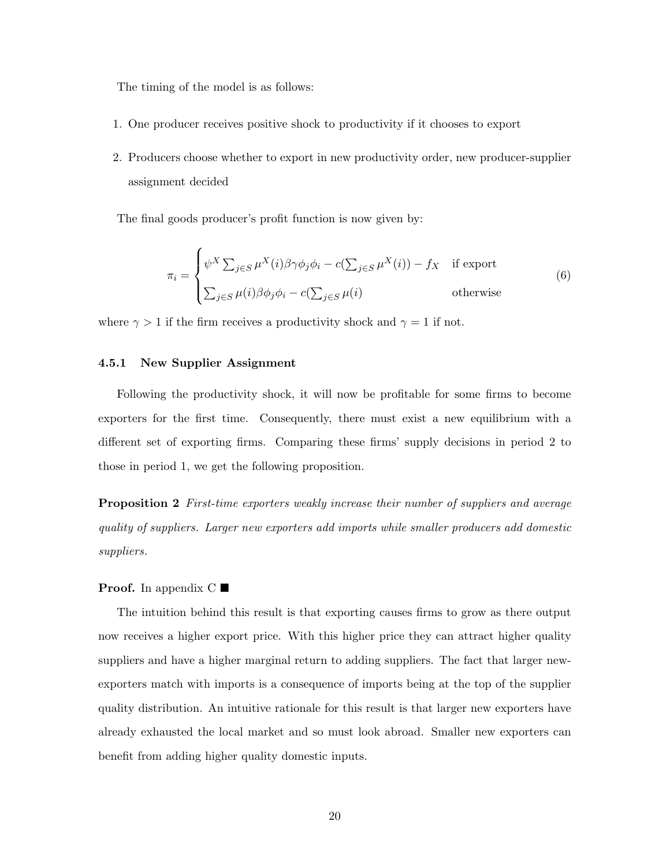The timing of the model is as follows:

- 1. One producer receives positive shock to productivity if it chooses to export
- 2. Producers choose whether to export in new productivity order, new producer-supplier assignment decided

The final goods producer's profit function is now given by:

$$
\pi_i = \begin{cases} \psi^X \sum_{j \in S} \mu^X(i) \beta \gamma \phi_j \phi_i - c(\sum_{j \in S} \mu^X(i)) - f_X & \text{if export} \\ \sum_{j \in S} \mu(i) \beta \phi_j \phi_i - c(\sum_{j \in S} \mu(i) & \text{otherwise} \end{cases}
$$
(6)

where  $\gamma > 1$  if the firm receives a productivity shock and  $\gamma = 1$  if not.

#### 4.5.1 New Supplier Assignment

Following the productivity shock, it will now be profitable for some firms to become exporters for the first time. Consequently, there must exist a new equilibrium with a different set of exporting firms. Comparing these firms' supply decisions in period 2 to those in period 1, we get the following proposition.

**Proposition 2** First-time exporters weakly increase their number of suppliers and average quality of suppliers. Larger new exporters add imports while smaller producers add domestic suppliers.

#### **Proof.** In appendix  $C \blacksquare$  $C \blacksquare$

The intuition behind this result is that exporting causes firms to grow as there output now receives a higher export price. With this higher price they can attract higher quality suppliers and have a higher marginal return to adding suppliers. The fact that larger newexporters match with imports is a consequence of imports being at the top of the supplier quality distribution. An intuitive rationale for this result is that larger new exporters have already exhausted the local market and so must look abroad. Smaller new exporters can benefit from adding higher quality domestic inputs.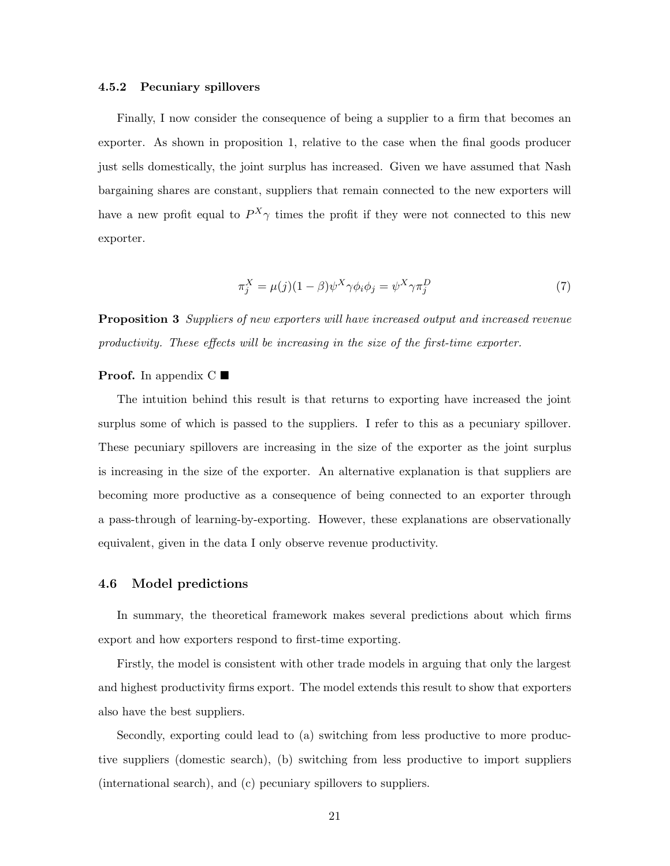#### 4.5.2 Pecuniary spillovers

Finally, I now consider the consequence of being a supplier to a firm that becomes an exporter. As shown in proposition 1, relative to the case when the final goods producer just sells domestically, the joint surplus has increased. Given we have assumed that Nash bargaining shares are constant, suppliers that remain connected to the new exporters will have a new profit equal to  $P^X \gamma$  times the profit if they were not connected to this new exporter.

$$
\pi_j^X = \mu(j)(1-\beta)\psi^X \gamma \phi_i \phi_j = \psi^X \gamma \pi_j^D \tag{7}
$$

**Proposition 3** Suppliers of new exporters will have increased output and increased revenue productivity. These effects will be increasing in the size of the first-time exporter.

#### **Proof.** In appendix  $C \blacksquare$  $C \blacksquare$

The intuition behind this result is that returns to exporting have increased the joint surplus some of which is passed to the suppliers. I refer to this as a pecuniary spillover. These pecuniary spillovers are increasing in the size of the exporter as the joint surplus is increasing in the size of the exporter. An alternative explanation is that suppliers are becoming more productive as a consequence of being connected to an exporter through a pass-through of learning-by-exporting. However, these explanations are observationally equivalent, given in the data I only observe revenue productivity.

#### <span id="page-22-0"></span>4.6 Model predictions

In summary, the theoretical framework makes several predictions about which firms export and how exporters respond to first-time exporting.

Firstly, the model is consistent with other trade models in arguing that only the largest and highest productivity firms export. The model extends this result to show that exporters also have the best suppliers.

Secondly, exporting could lead to (a) switching from less productive to more productive suppliers (domestic search), (b) switching from less productive to import suppliers (international search), and (c) pecuniary spillovers to suppliers.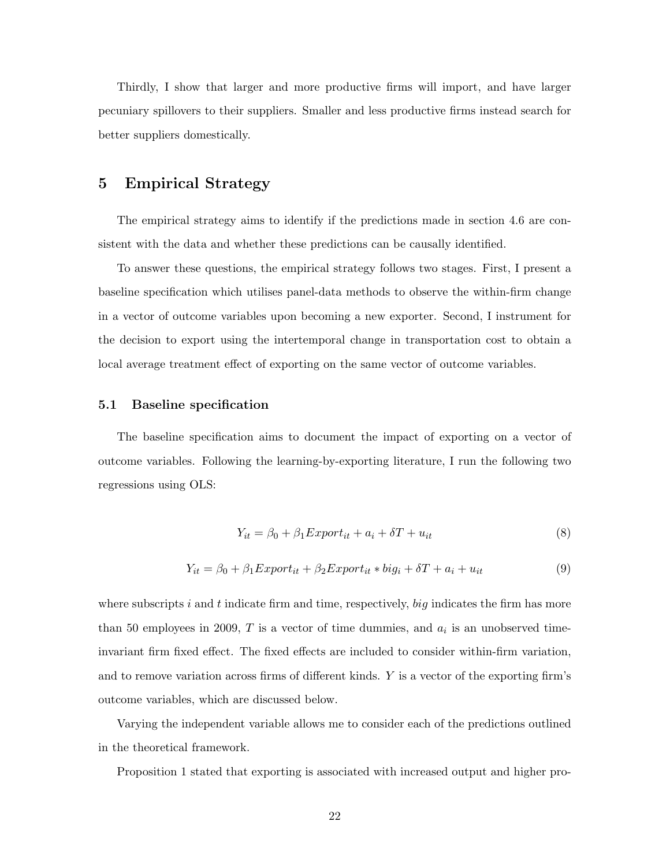Thirdly, I show that larger and more productive firms will import, and have larger pecuniary spillovers to their suppliers. Smaller and less productive firms instead search for better suppliers domestically.

## <span id="page-23-0"></span>5 Empirical Strategy

The empirical strategy aims to identify if the predictions made in section [4.6](#page-22-0) are consistent with the data and whether these predictions can be causally identified.

To answer these questions, the empirical strategy follows two stages. First, I present a baseline specification which utilises panel-data methods to observe the within-firm change in a vector of outcome variables upon becoming a new exporter. Second, I instrument for the decision to export using the intertemporal change in transportation cost to obtain a local average treatment effect of exporting on the same vector of outcome variables.

#### 5.1 Baseline specification

The baseline specification aims to document the impact of exporting on a vector of outcome variables. Following the learning-by-exporting literature, I run the following two regressions using OLS:

$$
Y_{it} = \beta_0 + \beta_1 Export_{it} + a_i + \delta T + u_{it}
$$
\n
$$
\tag{8}
$$

$$
Y_{it} = \beta_0 + \beta_1 Export_{it} + \beta_2 Export_{it} * big_i + \delta T + a_i + u_{it}
$$
\n(9)

where subscripts i and t indicate firm and time, respectively, big indicates the firm has more than 50 employees in 2009,  $T$  is a vector of time dummies, and  $a_i$  is an unobserved timeinvariant firm fixed effect. The fixed effects are included to consider within-firm variation, and to remove variation across firms of different kinds. Y is a vector of the exporting firm's outcome variables, which are discussed below.

Varying the independent variable allows me to consider each of the predictions outlined in the theoretical framework.

Proposition 1 stated that exporting is associated with increased output and higher pro-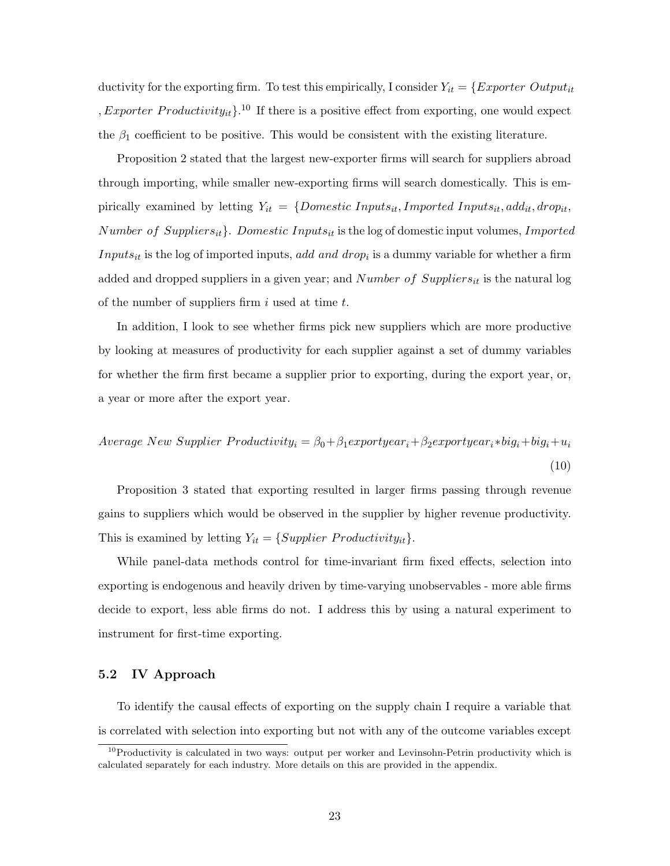ductivity for the exporting firm. To test this empirically, I consider  $Y_{it} = \{Experiment\ Output \emph{but} \normalsize$ , Exporter Productivity<sub>it</sub> $\}$ .<sup>[10](#page-24-0)</sup> If there is a positive effect from exporting, one would expect the  $\beta_1$  coefficient to be positive. This would be consistent with the existing literature.

Proposition 2 stated that the largest new-exporter firms will search for suppliers abroad through importing, while smaller new-exporting firms will search domestically. This is empirically examined by letting  $Y_{it} = \{Domestic \; Inputs_{it}, Imported \; Inputs_{it}, add_{it}, drop_{it},\}$ Number of Suppliers<sub>it</sub>}. Domestic Inputs<sub>it</sub> is the log of domestic input volumes, Imported  $InputStream_{it}$  is the log of imported inputs, add and drop<sub>i</sub> is a dummy variable for whether a firm added and dropped suppliers in a given year; and  $Number\ of\ Suppliers_{it}$  is the natural log of the number of suppliers firm i used at time  $t$ .

In addition, I look to see whether firms pick new suppliers which are more productive by looking at measures of productivity for each supplier against a set of dummy variables for whether the firm first became a supplier prior to exporting, during the export year, or, a year or more after the export year.

<span id="page-24-1"></span>
$$
Average New Supplementary Heroductivity_i = \beta_0 + \beta_1 export year_i + \beta_2 export year_i * big_i + big_i + u_i
$$
\n
$$
(10)
$$

Proposition 3 stated that exporting resulted in larger firms passing through revenue gains to suppliers which would be observed in the supplier by higher revenue productivity. This is examined by letting  $Y_{it} = \{Supplier\ Productivity_{it}\}.$ 

While panel-data methods control for time-invariant firm fixed effects, selection into exporting is endogenous and heavily driven by time-varying unobservables - more able firms decide to export, less able firms do not. I address this by using a natural experiment to instrument for first-time exporting.

#### 5.2 IV Approach

To identify the causal effects of exporting on the supply chain I require a variable that is correlated with selection into exporting but not with any of the outcome variables except

<span id="page-24-0"></span> $10P$  productivity is calculated in two ways: output per worker and Levinsohn-Petrin productivity which is calculated separately for each industry. More details on this are provided in the appendix.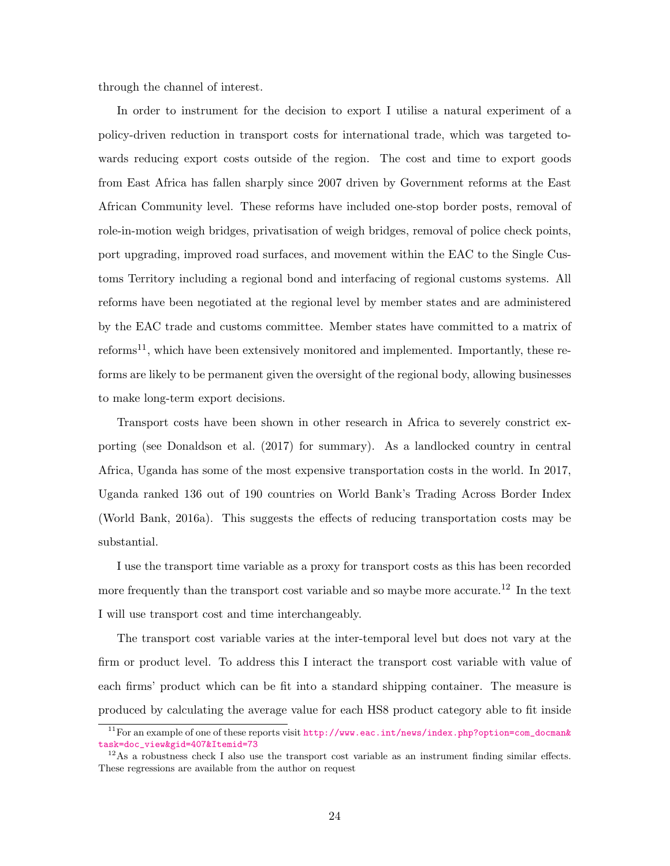through the channel of interest.

In order to instrument for the decision to export I utilise a natural experiment of a policy-driven reduction in transport costs for international trade, which was targeted towards reducing export costs outside of the region. The cost and time to export goods from East Africa has fallen sharply since 2007 driven by Government reforms at the East African Community level. These reforms have included one-stop border posts, removal of role-in-motion weigh bridges, privatisation of weigh bridges, removal of police check points, port upgrading, improved road surfaces, and movement within the EAC to the Single Customs Territory including a regional bond and interfacing of regional customs systems. All reforms have been negotiated at the regional level by member states and are administered by the EAC trade and customs committee. Member states have committed to a matrix of  $r \in \text{form}^{-1}$ , which have been extensively monitored and implemented. Importantly, these reforms are likely to be permanent given the oversight of the regional body, allowing businesses to make long-term export decisions.

Transport costs have been shown in other research in Africa to severely constrict exporting (see [Donaldson et al.](#page-33-8) [\(2017\)](#page-33-8) for summary). As a landlocked country in central Africa, Uganda has some of the most expensive transportation costs in the world. In 2017, Uganda ranked 136 out of 190 countries on World Bank's Trading Across Border Index [\(World Bank,](#page-36-1) [2016a\)](#page-36-1). This suggests the effects of reducing transportation costs may be substantial.

I use the transport time variable as a proxy for transport costs as this has been recorded more frequently than the transport cost variable and so maybe more accurate.<sup>[12](#page-25-1)</sup> In the text I will use transport cost and time interchangeably.

The transport cost variable varies at the inter-temporal level but does not vary at the firm or product level. To address this I interact the transport cost variable with value of each firms' product which can be fit into a standard shipping container. The measure is produced by calculating the average value for each HS8 product category able to fit inside

<span id="page-25-0"></span><sup>11</sup>For an example of one of these reports visit [http://www.eac.int/news/index.php?option=com\\_docman&](http://www.eac.int/news/index.php?option=com_docman&task=doc_view&gid=407&Itemid=73) [task=doc\\_view&gid=407&Itemid=73](http://www.eac.int/news/index.php?option=com_docman&task=doc_view&gid=407&Itemid=73)

<span id="page-25-1"></span> $12\text{As}$  a robustness check I also use the transport cost variable as an instrument finding similar effects. These regressions are available from the author on request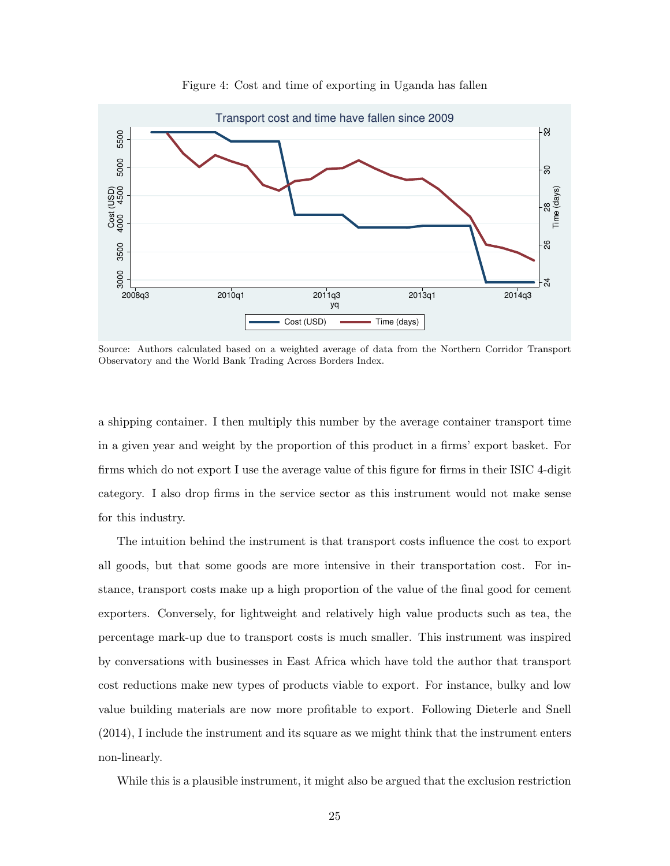

Figure 4: Cost and time of exporting in Uganda has fallen

Source: Authors calculated based on a weighted average of data from the Northern Corridor Transport Observatory and the World Bank Trading Across Borders Index.

a shipping container. I then multiply this number by the average container transport time in a given year and weight by the proportion of this product in a firms' export basket. For firms which do not export I use the average value of this figure for firms in their ISIC 4-digit category. I also drop firms in the service sector as this instrument would not make sense for this industry.

The intuition behind the instrument is that transport costs influence the cost to export all goods, but that some goods are more intensive in their transportation cost. For instance, transport costs make up a high proportion of the value of the final good for cement exporters. Conversely, for lightweight and relatively high value products such as tea, the percentage mark-up due to transport costs is much smaller. This instrument was inspired by conversations with businesses in East Africa which have told the author that transport cost reductions make new types of products viable to export. For instance, bulky and low value building materials are now more profitable to export. Following [Dieterle and Snell](#page-33-9) [\(2014\)](#page-33-9), I include the instrument and its square as we might think that the instrument enters non-linearly.

While this is a plausible instrument, it might also be argued that the exclusion restriction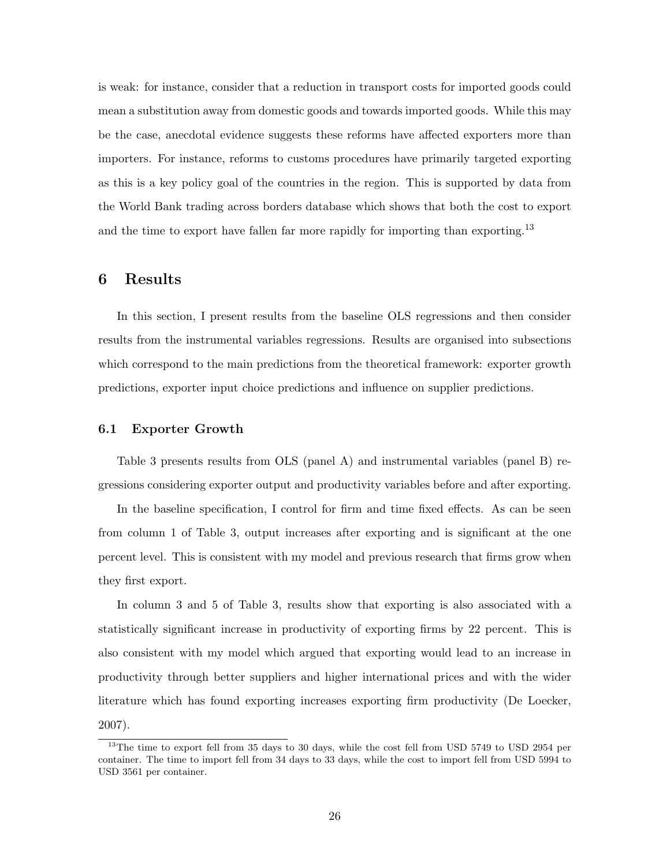is weak: for instance, consider that a reduction in transport costs for imported goods could mean a substitution away from domestic goods and towards imported goods. While this may be the case, anecdotal evidence suggests these reforms have affected exporters more than importers. For instance, reforms to customs procedures have primarily targeted exporting as this is a key policy goal of the countries in the region. This is supported by data from the World Bank trading across borders database which shows that both the cost to export and the time to export have fallen far more rapidly for importing than exporting.<sup>[13](#page-27-0)</sup>

## 6 Results

In this section, I present results from the baseline OLS regressions and then consider results from the instrumental variables regressions. Results are organised into subsections which correspond to the main predictions from the theoretical framework: exporter growth predictions, exporter input choice predictions and influence on supplier predictions.

#### 6.1 Exporter Growth

Table [3](#page-37-0) presents results from OLS (panel A) and instrumental variables (panel B) regressions considering exporter output and productivity variables before and after exporting.

In the baseline specification, I control for firm and time fixed effects. As can be seen from column 1 of Table [3,](#page-37-0) output increases after exporting and is significant at the one percent level. This is consistent with my model and previous research that firms grow when they first export.

In column 3 and 5 of Table [3,](#page-37-0) results show that exporting is also associated with a statistically significant increase in productivity of exporting firms by 22 percent. This is also consistent with my model which argued that exporting would lead to an increase in productivity through better suppliers and higher international prices and with the wider literature which has found exporting increases exporting firm productivity [\(De Loecker,](#page-34-0) [2007\)](#page-34-0).

<span id="page-27-0"></span><sup>&</sup>lt;sup>13</sup>The time to export fell from 35 days to 30 days, while the cost fell from USD 5749 to USD 2954 per container. The time to import fell from 34 days to 33 days, while the cost to import fell from USD 5994 to USD 3561 per container.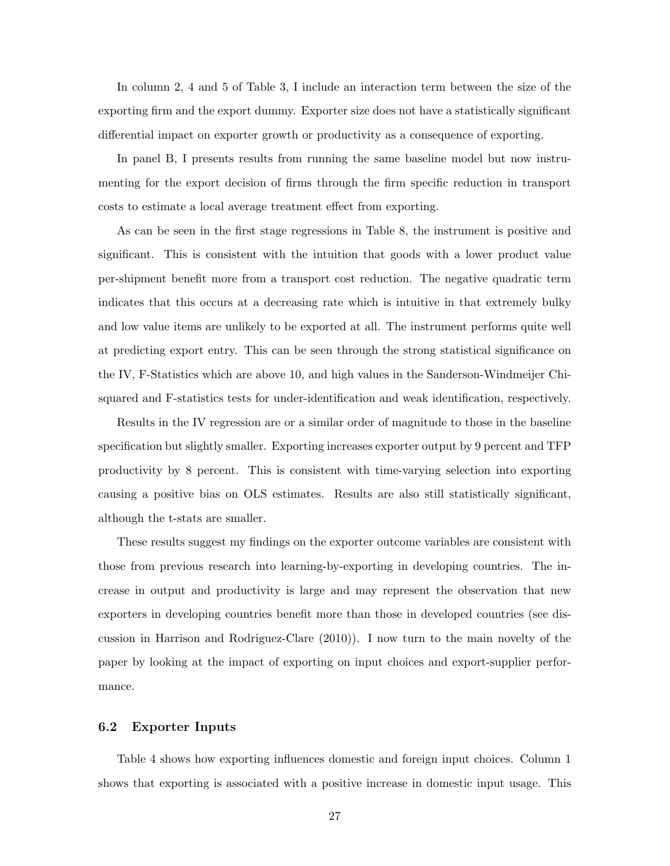In column 2, 4 and 5 of Table [3,](#page-37-0) I include an interaction term between the size of the exporting firm and the export dummy. Exporter size does not have a statistically significant differential impact on exporter growth or productivity as a consequence of exporting.

In panel B, I presents results from running the same baseline model but now instrumenting for the export decision of firms through the firm specific reduction in transport costs to estimate a local average treatment effect from exporting.

As can be seen in the first stage regressions in Table [8,](#page-42-0) the instrument is positive and significant. This is consistent with the intuition that goods with a lower product value per-shipment benefit more from a transport cost reduction. The negative quadratic term indicates that this occurs at a decreasing rate which is intuitive in that extremely bulky and low value items are unlikely to be exported at all. The instrument performs quite well at predicting export entry. This can be seen through the strong statistical significance on the IV, F-Statistics which are above 10, and high values in the Sanderson-Windmeijer Chisquared and F-statistics tests for under-identification and weak identification, respectively.

Results in the IV regression are or a similar order of magnitude to those in the baseline specification but slightly smaller. Exporting increases exporter output by 9 percent and TFP productivity by 8 percent. This is consistent with time-varying selection into exporting causing a positive bias on OLS estimates. Results are also still statistically significant, although the t-stats are smaller.

These results suggest my findings on the exporter outcome variables are consistent with those from previous research into learning-by-exporting in developing countries. The increase in output and productivity is large and may represent the observation that new exporters in developing countries benefit more than those in developed countries (see discussion in [Harrison and Rodriguez-Clare](#page-34-4) [\(2010\)](#page-34-4)). I now turn to the main novelty of the paper by looking at the impact of exporting on input choices and export-supplier performance.

#### 6.2 Exporter Inputs

Table [4](#page-38-0) shows how exporting influences domestic and foreign input choices. Column 1 shows that exporting is associated with a positive increase in domestic input usage. This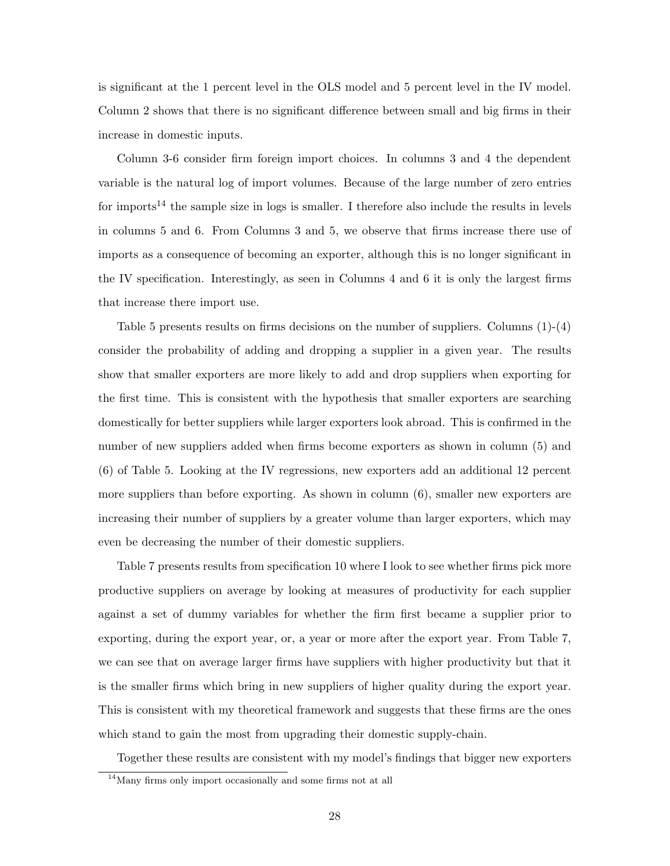is significant at the 1 percent level in the OLS model and 5 percent level in the IV model. Column 2 shows that there is no significant difference between small and big firms in their increase in domestic inputs.

Column 3-6 consider firm foreign import choices. In columns 3 and 4 the dependent variable is the natural log of import volumes. Because of the large number of zero entries for imports<sup>[14](#page-29-0)</sup> the sample size in logs is smaller. I therefore also include the results in levels in columns 5 and 6. From Columns 3 and 5, we observe that firms increase there use of imports as a consequence of becoming an exporter, although this is no longer significant in the IV specification. Interestingly, as seen in Columns 4 and 6 it is only the largest firms that increase there import use.

Table [5](#page-39-0) presents results on firms decisions on the number of suppliers. Columns (1)-(4) consider the probability of adding and dropping a supplier in a given year. The results show that smaller exporters are more likely to add and drop suppliers when exporting for the first time. This is consistent with the hypothesis that smaller exporters are searching domestically for better suppliers while larger exporters look abroad. This is confirmed in the number of new suppliers added when firms become exporters as shown in column (5) and (6) of Table [5.](#page-39-0) Looking at the IV regressions, new exporters add an additional 12 percent more suppliers than before exporting. As shown in column (6), smaller new exporters are increasing their number of suppliers by a greater volume than larger exporters, which may even be decreasing the number of their domestic suppliers.

Table [7](#page-41-0) presents results from specification [10](#page-24-1) where I look to see whether firms pick more productive suppliers on average by looking at measures of productivity for each supplier against a set of dummy variables for whether the firm first became a supplier prior to exporting, during the export year, or, a year or more after the export year. From Table [7,](#page-41-0) we can see that on average larger firms have suppliers with higher productivity but that it is the smaller firms which bring in new suppliers of higher quality during the export year. This is consistent with my theoretical framework and suggests that these firms are the ones which stand to gain the most from upgrading their domestic supply-chain.

Together these results are consistent with my model's findings that bigger new exporters

<span id="page-29-0"></span><sup>14</sup>Many firms only import occasionally and some firms not at all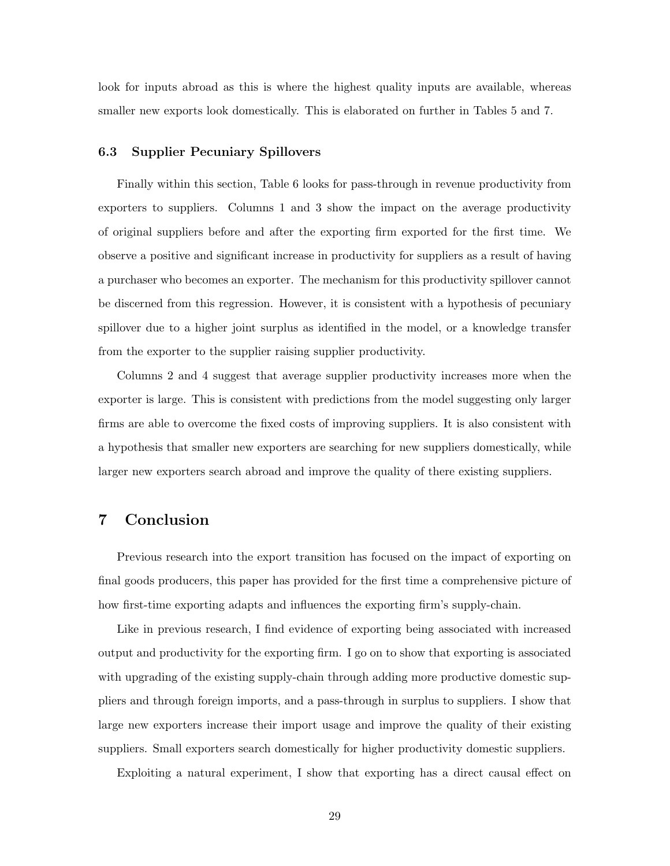look for inputs abroad as this is where the highest quality inputs are available, whereas smaller new exports look domestically. This is elaborated on further in Tables [5](#page-39-0) and [7.](#page-41-0)

#### 6.3 Supplier Pecuniary Spillovers

Finally within this section, Table [6](#page-40-0) looks for pass-through in revenue productivity from exporters to suppliers. Columns 1 and 3 show the impact on the average productivity of original suppliers before and after the exporting firm exported for the first time. We observe a positive and significant increase in productivity for suppliers as a result of having a purchaser who becomes an exporter. The mechanism for this productivity spillover cannot be discerned from this regression. However, it is consistent with a hypothesis of pecuniary spillover due to a higher joint surplus as identified in the model, or a knowledge transfer from the exporter to the supplier raising supplier productivity.

Columns 2 and 4 suggest that average supplier productivity increases more when the exporter is large. This is consistent with predictions from the model suggesting only larger firms are able to overcome the fixed costs of improving suppliers. It is also consistent with a hypothesis that smaller new exporters are searching for new suppliers domestically, while larger new exporters search abroad and improve the quality of there existing suppliers.

## 7 Conclusion

Previous research into the export transition has focused on the impact of exporting on final goods producers, this paper has provided for the first time a comprehensive picture of how first-time exporting adapts and influences the exporting firm's supply-chain.

Like in previous research, I find evidence of exporting being associated with increased output and productivity for the exporting firm. I go on to show that exporting is associated with upgrading of the existing supply-chain through adding more productive domestic suppliers and through foreign imports, and a pass-through in surplus to suppliers. I show that large new exporters increase their import usage and improve the quality of their existing suppliers. Small exporters search domestically for higher productivity domestic suppliers.

Exploiting a natural experiment, I show that exporting has a direct causal effect on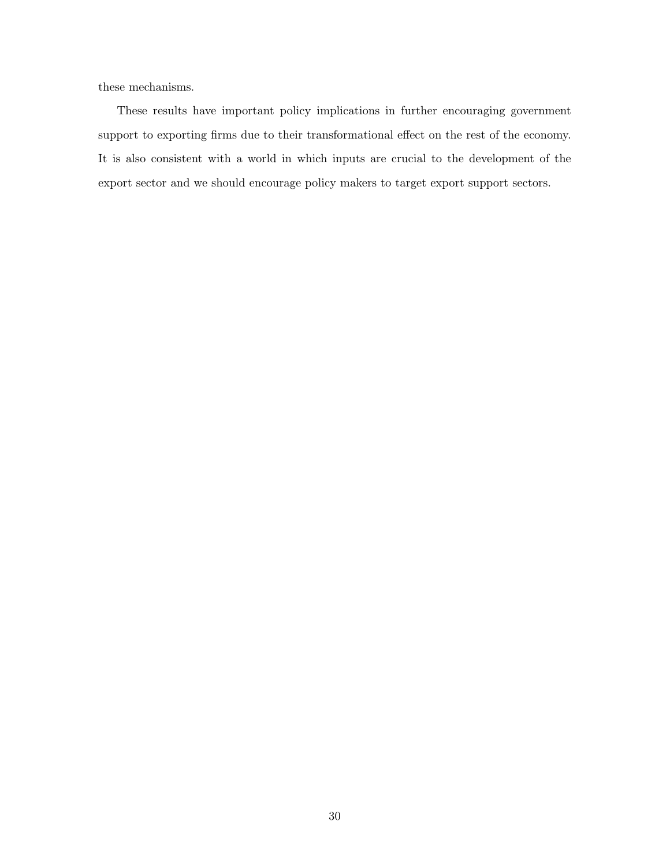these mechanisms.

These results have important policy implications in further encouraging government support to exporting firms due to their transformational effect on the rest of the economy. It is also consistent with a world in which inputs are crucial to the development of the export sector and we should encourage policy makers to target export support sectors.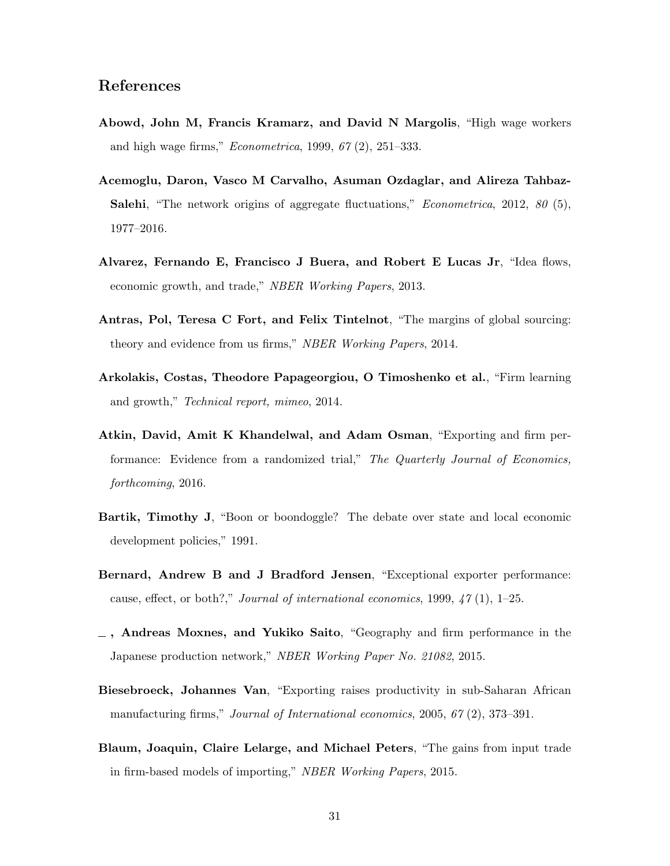## References

- <span id="page-32-10"></span>Abowd, John M, Francis Kramarz, and David N Margolis, "High wage workers and high wage firms," Econometrica, 1999, 67 (2), 251–333.
- <span id="page-32-8"></span>Acemoglu, Daron, Vasco M Carvalho, Asuman Ozdaglar, and Alireza Tahbaz-Salehi, "The network origins of aggregate fluctuations," *Econometrica*, 2012, 80 (5), 1977–2016.
- <span id="page-32-3"></span>Alvarez, Fernando E, Francisco J Buera, and Robert E Lucas Jr, "Idea flows, economic growth, and trade," NBER Working Papers, 2013.
- <span id="page-32-6"></span>Antras, Pol, Teresa C Fort, and Felix Tintelnot, "The margins of global sourcing: theory and evidence from us firms," NBER Working Papers, 2014.
- <span id="page-32-4"></span>Arkolakis, Costas, Theodore Papageorgiou, O Timoshenko et al., "Firm learning and growth," Technical report, mimeo, 2014.
- <span id="page-32-5"></span>Atkin, David, Amit K Khandelwal, and Adam Osman, "Exporting and firm performance: Evidence from a randomized trial," The Quarterly Journal of Economics, forthcoming, 2016.
- <span id="page-32-2"></span>Bartik, Timothy J, "Boon or boondoggle? The debate over state and local economic development policies," 1991.
- <span id="page-32-0"></span>Bernard, Andrew B and J Bradford Jensen, "Exceptional exporter performance: cause, effect, or both?," Journal of international economics, 1999,  $47$  (1), 1–25.
- <span id="page-32-9"></span> $\overline{\phantom{a}}$ , Andreas Moxnes, and Yukiko Saito, "Geography and firm performance in the Japanese production network," NBER Working Paper No. 21082, 2015.
- <span id="page-32-1"></span>Biesebroeck, Johannes Van, "Exporting raises productivity in sub-Saharan African manufacturing firms," Journal of International economics, 2005, 67 (2), 373–391.
- <span id="page-32-7"></span>Blaum, Joaquin, Claire Lelarge, and Michael Peters, "The gains from input trade in firm-based models of importing," NBER Working Papers, 2015.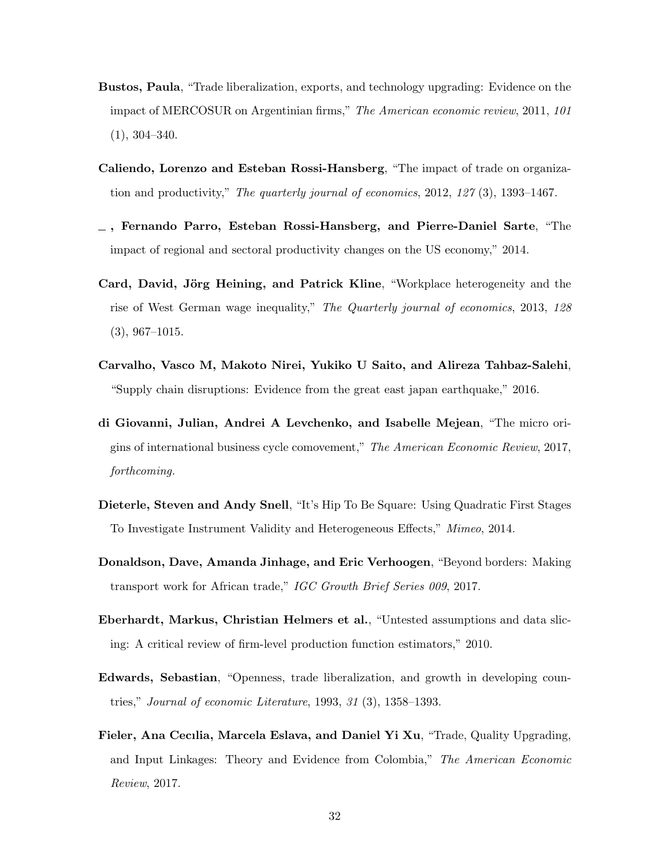- <span id="page-33-0"></span>Bustos, Paula, "Trade liberalization, exports, and technology upgrading: Evidence on the impact of MERCOSUR on Argentinian firms," The American economic review, 2011, 101 (1), 304–340.
- <span id="page-33-2"></span>Caliendo, Lorenzo and Esteban Rossi-Hansberg, "The impact of trade on organization and productivity," The quarterly journal of economics, 2012, 127 (3), 1393–1467.
- <span id="page-33-4"></span>, Fernando Parro, Esteban Rossi-Hansberg, and Pierre-Daniel Sarte, "The impact of regional and sectoral productivity changes on the US economy," 2014.
- <span id="page-33-7"></span>Card, David, Jörg Heining, and Patrick Kline, "Workplace heterogeneity and the rise of West German wage inequality," The Quarterly journal of economics, 2013, 128 (3), 967–1015.
- <span id="page-33-5"></span>Carvalho, Vasco M, Makoto Nirei, Yukiko U Saito, and Alireza Tahbaz-Salehi, "Supply chain disruptions: Evidence from the great east japan earthquake," 2016.
- <span id="page-33-6"></span>di Giovanni, Julian, Andrei A Levchenko, and Isabelle Mejean, "The micro origins of international business cycle comovement," The American Economic Review, 2017, forthcoming.
- <span id="page-33-9"></span>Dieterle, Steven and Andy Snell, "It's Hip To Be Square: Using Quadratic First Stages To Investigate Instrument Validity and Heterogeneous Effects," Mimeo, 2014.
- <span id="page-33-8"></span>Donaldson, Dave, Amanda Jinhage, and Eric Verhoogen, "Beyond borders: Making transport work for African trade," IGC Growth Brief Series 009, 2017.
- <span id="page-33-10"></span>Eberhardt, Markus, Christian Helmers et al., "Untested assumptions and data slicing: A critical review of firm-level production function estimators," 2010.
- <span id="page-33-1"></span>Edwards, Sebastian, "Openness, trade liberalization, and growth in developing countries," Journal of economic Literature, 1993, 31 (3), 1358–1393.
- <span id="page-33-3"></span>Fieler, Ana Cecılia, Marcela Eslava, and Daniel Yi Xu, "Trade, Quality Upgrading, and Input Linkages: Theory and Evidence from Colombia," The American Economic Review, 2017.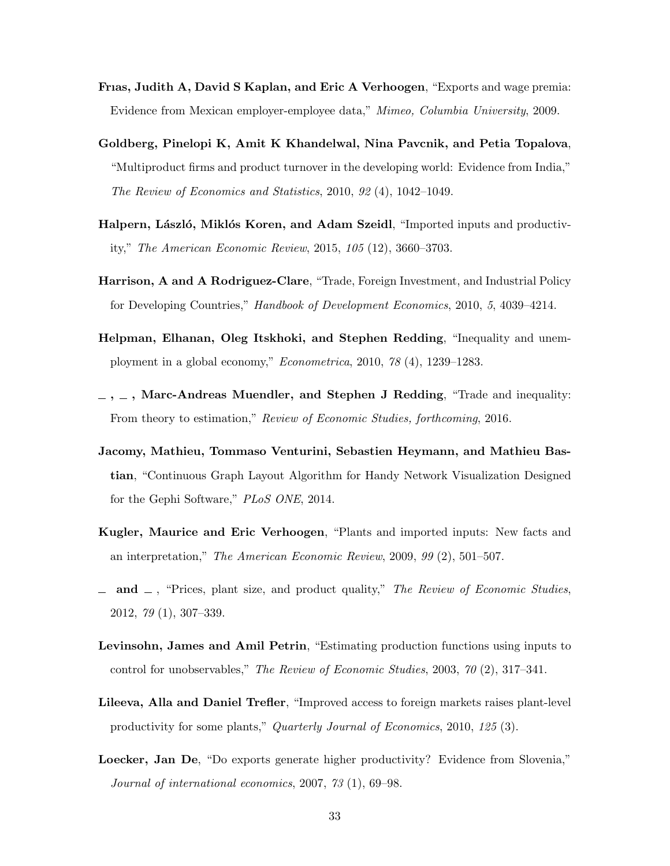- <span id="page-34-8"></span>Frıas, Judith A, David S Kaplan, and Eric A Verhoogen, "Exports and wage premia: Evidence from Mexican employer-employee data," Mimeo, Columbia University, 2009.
- <span id="page-34-3"></span>Goldberg, Pinelopi K, Amit K Khandelwal, Nina Pavcnik, and Petia Topalova, "Multiproduct firms and product turnover in the developing world: Evidence from India," The Review of Economics and Statistics, 2010, 92 (4), 1042–1049.
- <span id="page-34-9"></span>Halpern, László, Miklós Koren, and Adam Szeidl, "Imported inputs and productivity," The American Economic Review, 2015, 105 (12), 3660–3703.
- <span id="page-34-4"></span>Harrison, A and A Rodriguez-Clare, "Trade, Foreign Investment, and Industrial Policy for Developing Countries," Handbook of Development Economics, 2010, 5, 4039–4214.
- <span id="page-34-6"></span>Helpman, Elhanan, Oleg Itskhoki, and Stephen Redding, "Inequality and unemployment in a global economy," Econometrica, 2010, 78 (4), 1239–1283.
- <span id="page-34-7"></span> $-$ ,  $-$ , Marc-Andreas Muendler, and Stephen J Redding, "Trade and inequality: From theory to estimation," Review of Economic Studies, forthcoming, 2016.
- <span id="page-34-10"></span>Jacomy, Mathieu, Tommaso Venturini, Sebastien Heymann, and Mathieu Bastian, "Continuous Graph Layout Algorithm for Handy Network Visualization Designed for the Gephi Software," PLoS ONE, 2014.
- <span id="page-34-5"></span>Kugler, Maurice and Eric Verhoogen, "Plants and imported inputs: New facts and an interpretation," The American Economic Review, 2009, 99 (2), 501–507.
- <span id="page-34-1"></span> $\Box$  and  $\Box$ , "Prices, plant size, and product quality," The Review of Economic Studies, 2012, 79 (1), 307–339.
- <span id="page-34-11"></span>Levinsohn, James and Amil Petrin, "Estimating production functions using inputs to control for unobservables," The Review of Economic Studies, 2003, 70 (2), 317–341.
- <span id="page-34-2"></span>Lileeva, Alla and Daniel Trefler, "Improved access to foreign markets raises plant-level productivity for some plants," Quarterly Journal of Economics, 2010, 125 (3).
- <span id="page-34-0"></span>Loecker, Jan De, "Do exports generate higher productivity? Evidence from Slovenia," Journal of international economics, 2007, 73 (1), 69–98.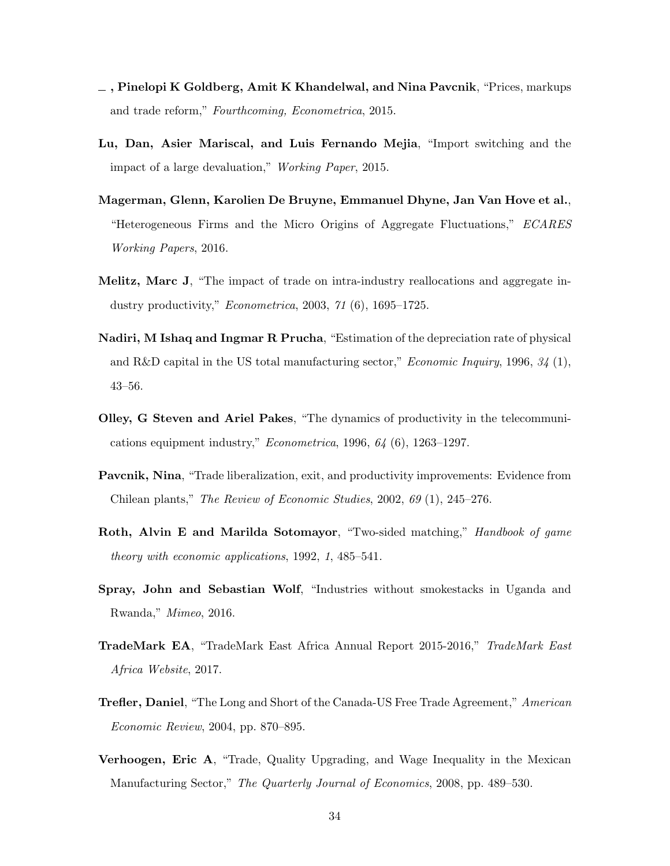- <span id="page-35-4"></span> $\overline{\phantom{a}}$ , Pinelopi K Goldberg, Amit K Khandelwal, and Nina Pavcnik, "Prices, markups and trade reform," Fourthcoming, Econometrica, 2015.
- <span id="page-35-5"></span>Lu, Dan, Asier Mariscal, and Luis Fernando Mejia, "Import switching and the impact of a large devaluation," Working Paper, 2015.
- <span id="page-35-6"></span>Magerman, Glenn, Karolien De Bruyne, Emmanuel Dhyne, Jan Van Hove et al., "Heterogeneous Firms and the Micro Origins of Aggregate Fluctuations," ECARES Working Papers, 2016.
- <span id="page-35-1"></span>Melitz, Marc J, "The impact of trade on intra-industry reallocations and aggregate industry productivity," Econometrica, 2003, 71 (6), 1695–1725.
- <span id="page-35-10"></span>Nadiri, M Ishaq and Ingmar R Prucha, "Estimation of the depreciation rate of physical and R&D capital in the US total manufacturing sector," *Economic Inquiry*, 1996,  $34$  (1), 43–56.
- <span id="page-35-11"></span>Olley, G Steven and Ariel Pakes, "The dynamics of productivity in the telecommunications equipment industry," Econometrica, 1996, 64 (6), 1263–1297.
- <span id="page-35-0"></span>Pavcnik, Nina, "Trade liberalization, exit, and productivity improvements: Evidence from Chilean plants," The Review of Economic Studies, 2002, 69 (1), 245–276.
- <span id="page-35-9"></span>**Roth, Alvin E and Marilda Sotomayor**, "Two-sided matching," *Handbook of game* theory with economic applications, 1992, 1, 485–541.
- <span id="page-35-8"></span>Spray, John and Sebastian Wolf, "Industries without smokestacks in Uganda and Rwanda," Mimeo, 2016.
- <span id="page-35-2"></span>TradeMark EA, "TradeMark East Africa Annual Report 2015-2016," TradeMark East Africa Website, 2017.
- <span id="page-35-3"></span>**Trefler, Daniel, "The Long and Short of the Canada-US Free Trade Agreement," American** Economic Review, 2004, pp. 870–895.
- <span id="page-35-7"></span>Verhoogen, Eric A, "Trade, Quality Upgrading, and Wage Inequality in the Mexican Manufacturing Sector," The Quarterly Journal of Economics, 2008, pp. 489–530.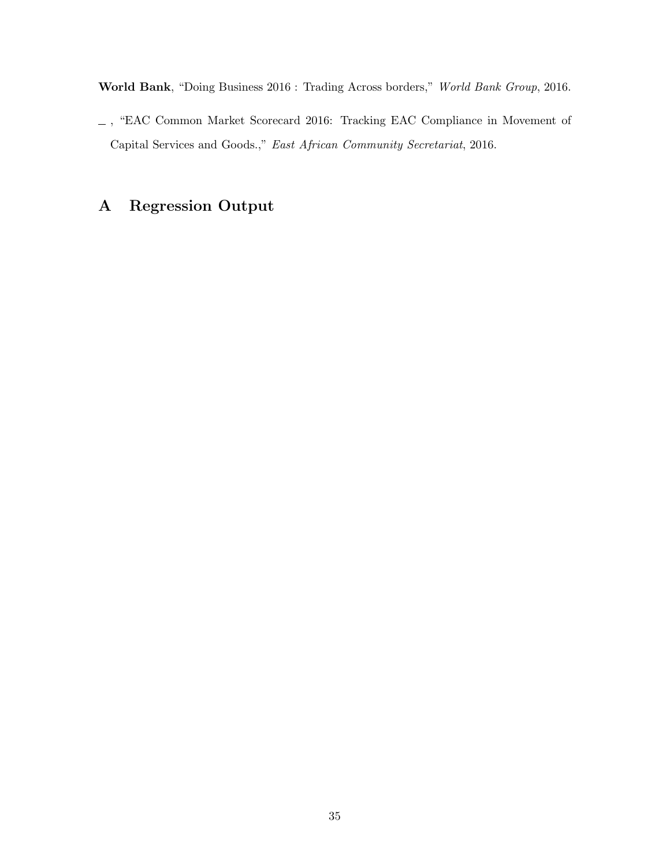<span id="page-36-1"></span>World Bank, "Doing Business 2016 : Trading Across borders," World Bank Group, 2016.

<span id="page-36-0"></span> $\_$ , "EAC Common Market Scorecard 2016: Tracking EAC Compliance in Movement of Capital Services and Goods.," East African Community Secretariat, 2016.

## A Regression Output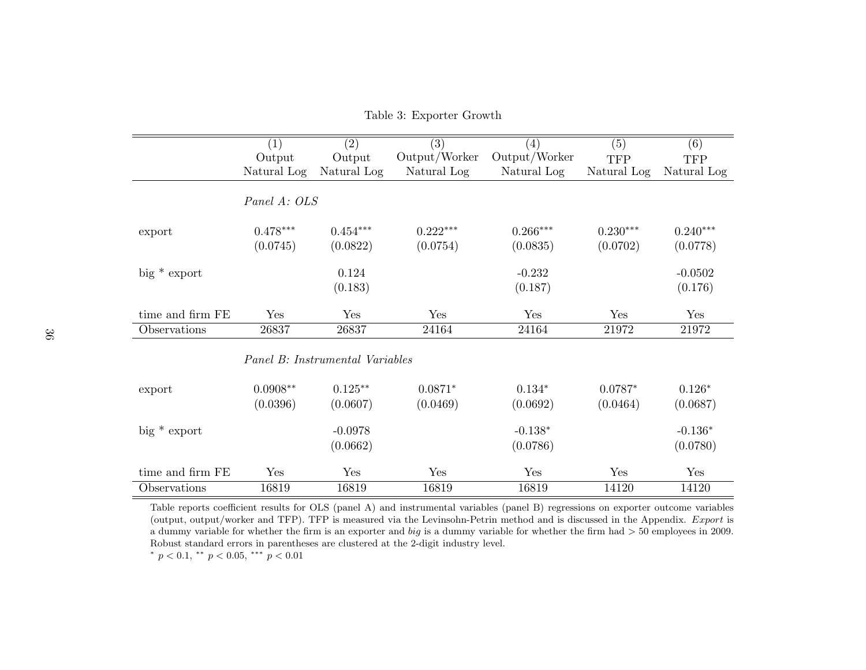|                  | (1)                             | (2)         | $\overline{(3)}$ | $\left( 4\right)$ | (5)         | (6)         |  |  |
|------------------|---------------------------------|-------------|------------------|-------------------|-------------|-------------|--|--|
|                  | Output                          | Output      | Output/Worker    | Output/Worker     | <b>TFP</b>  | <b>TFP</b>  |  |  |
|                  | Natural Log                     | Natural Log | Natural Log      | Natural Log       | Natural Log | Natural Log |  |  |
|                  | Panel A: OLS                    |             |                  |                   |             |             |  |  |
| export           | $0.478***$                      | $0.454***$  | $0.222***$       | $0.266***$        | $0.230***$  | $0.240***$  |  |  |
|                  | (0.0745)                        | (0.0822)    | (0.0754)         | (0.0835)          | (0.0702)    | (0.0778)    |  |  |
| $big*$ export    |                                 | 0.124       |                  | $-0.232$          |             | $-0.0502$   |  |  |
|                  |                                 | (0.183)     |                  | (0.187)           |             | (0.176)     |  |  |
| time and firm FE | Yes                             | Yes         | Yes              | Yes               | Yes         | Yes         |  |  |
| Observations     | 26837                           | 26837       | 24164            | 24164             | 21972       | 21972       |  |  |
|                  | Panel B: Instrumental Variables |             |                  |                   |             |             |  |  |
| export           | $0.0908**$                      | $0.125***$  | $0.0871*$        | $0.134*$          | $0.0787*$   | $0.126*$    |  |  |
|                  | (0.0396)                        | (0.0607)    | (0.0469)         | (0.0692)          | (0.0464)    | (0.0687)    |  |  |
| $big*$ export    |                                 | $-0.0978$   |                  | $-0.138*$         |             | $-0.136*$   |  |  |
|                  |                                 | (0.0662)    |                  | (0.0786)          |             | (0.0780)    |  |  |
| time and firm FE | Yes                             | Yes         | Yes              | Yes               | Yes         | Yes         |  |  |
| Observations     | 16819                           | 16819       | 16819            | 16819             | 14120       | 14120       |  |  |

Table 3: Exporter Growth

<span id="page-37-0"></span>Table reports coefficient results for OLS (panel A) and instrumental variables (panel B) regressions on exporter outcome variables (output, output/worker and TFP). TFP is measured via the Levinsohn-Petrin method and is discussed in the Appendix. Export isa dummy variable for whether the firm is an exporter and  $big$  is a dummy variable for whether the firm had  $>$  50 employees in 2009. Robust standard errors in parentheses are clustered at the 2-digit industry level.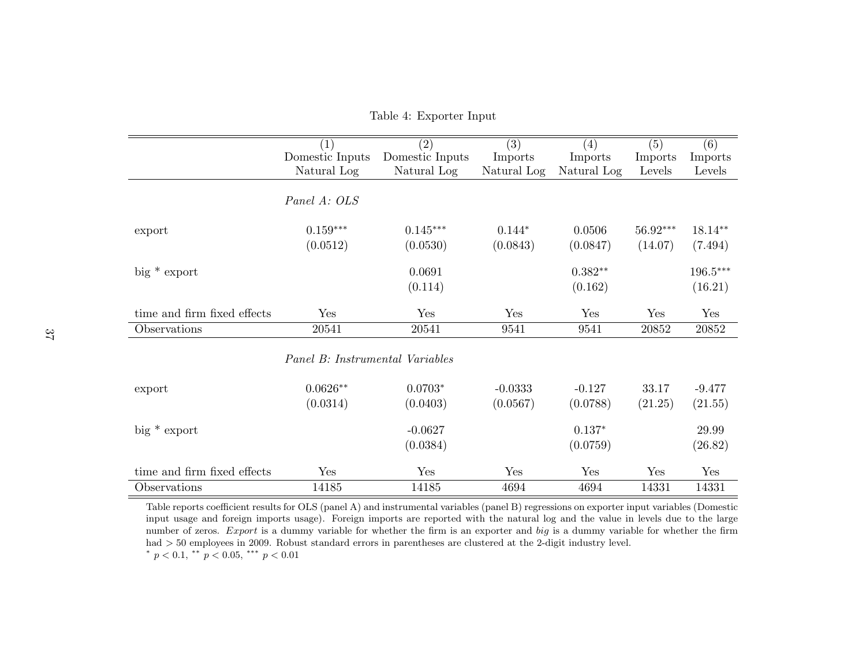|                             | (1)                             | $\overline{(2)}$ | $\overline{(3)}$ | (4)                | $\overline{(5)}$ | (6)        |
|-----------------------------|---------------------------------|------------------|------------------|--------------------|------------------|------------|
|                             | Domestic Inputs                 | Domestic Inputs  | Imports          | Imports            | Imports          | Imports    |
|                             | Natural Log                     | Natural Log      | Natural Log      | Natural Log        | Levels           | Levels     |
|                             | Panel A: OLS                    |                  |                  |                    |                  |            |
| export                      | $0.159***$                      | $0.145***$       | $0.144*$         | 0.0506             | $56.92***$       | 18.14**    |
|                             | (0.0512)                        | (0.0530)         | (0.0843)         | (0.0847)           | (14.07)          | (7.494)    |
| $big*$ export               |                                 | 0.0691           |                  | $0.382^{\ast\ast}$ |                  | $196.5***$ |
|                             |                                 | (0.114)          |                  | (0.162)            |                  | (16.21)    |
| time and firm fixed effects | Yes                             | Yes              | Yes              | Yes                | Yes              | Yes        |
| Observations                | 20541                           | 20541            | 9541             | 9541               | 20852            | $20852\,$  |
|                             | Panel B: Instrumental Variables |                  |                  |                    |                  |            |
| export                      | $0.0626**$                      | $0.0703*$        | $-0.0333$        | $-0.127$           | 33.17            | $-9.477$   |
|                             | (0.0314)                        | (0.0403)         | (0.0567)         | (0.0788)           | (21.25)          | (21.55)    |
| $big*$ export               |                                 | $-0.0627$        |                  | $0.137*$           |                  | 29.99      |
|                             |                                 | (0.0384)         |                  | (0.0759)           |                  | (26.82)    |
| time and firm fixed effects | Yes                             | Yes              | Yes              | Yes                | Yes              | Yes        |
| Observations                | 14185                           | 14185            | 4694             | 4694               | 14331            | 14331      |

<span id="page-38-0"></span>Table 4: Exporter Input

Table reports coefficient results for OLS (panel A) and instrumental variables (panel B) regressions on exporter input variables (Domestic input usage and foreign imports usage). Foreign imports are reported with the natural log and the value in levels due to the largenumber of zeros. Export is a dummy variable for whether the firm is an exporter and big is a dummy variable for whether the firm had > 50 employees in 2009. Robust standard errors in parentheses are clustered at the 2-digit industry level.<br>\* = < 0.1 \*\* = < 0.07 \*\*\* = < 0.01 \*  $p < 0.1$ , \*\*  $p < 0.05$ , \*\*\*  $p < 0.01$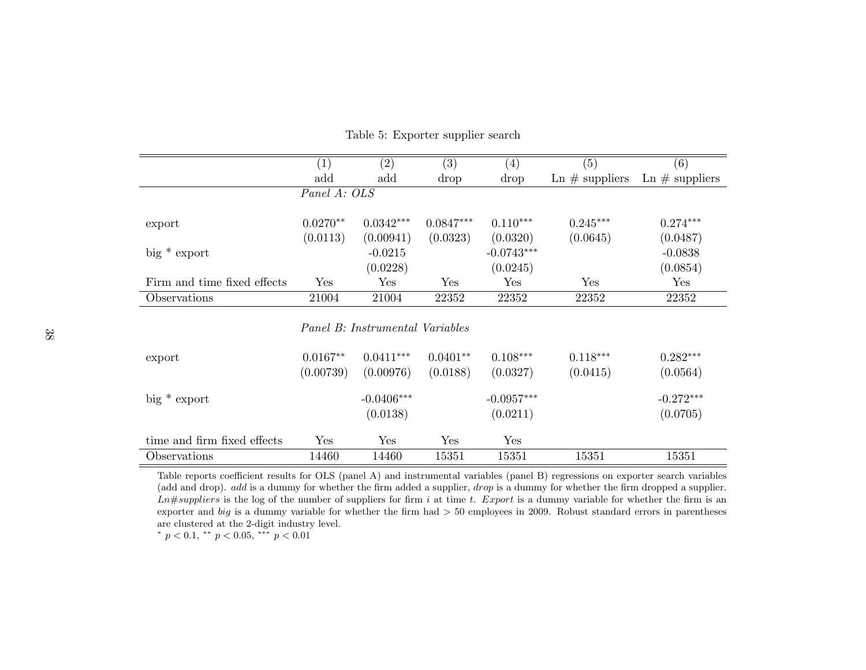|                             | (1)                             | (2)          | (3)         | (4)          | (5)                             | (6)               |  |
|-----------------------------|---------------------------------|--------------|-------------|--------------|---------------------------------|-------------------|--|
|                             | add                             | add          | drop        | drop         | $\text{Ln} \# \text{suppliers}$ | Ln $\#$ suppliers |  |
|                             | Panel A: OLS                    |              |             |              |                                 |                   |  |
|                             |                                 |              |             |              |                                 |                   |  |
| export                      | $0.0270**$                      | $0.0342***$  | $0.0847***$ | $0.110***$   | $0.245***$                      | $0.274***$        |  |
|                             | (0.0113)                        | (0.00941)    | (0.0323)    | (0.0320)     | (0.0645)                        | (0.0487)          |  |
| $big*$ export               |                                 | $-0.0215$    |             | $-0.0743***$ |                                 | $-0.0838$         |  |
|                             |                                 | (0.0228)     |             | (0.0245)     |                                 | (0.0854)          |  |
| Firm and time fixed effects | Yes                             | Yes          | Yes         | Yes          | Yes                             | Yes               |  |
| Observations                | 21004                           | 21004        | 22352       | 22352        | 22352                           | 22352             |  |
|                             | Panel B: Instrumental Variables |              |             |              |                                 |                   |  |
| export                      | $0.0167**$                      | $0.0411***$  | $0.0401**$  | $0.108***$   | $0.118***$                      | $0.282***$        |  |
|                             | (0.00739)                       | (0.00976)    | (0.0188)    | (0.0327)     | (0.0415)                        | (0.0564)          |  |
| $big*$ export               |                                 | $-0.0406***$ |             | $-0.0957***$ |                                 | $-0.272***$       |  |
|                             |                                 | (0.0138)     |             | (0.0211)     |                                 | (0.0705)          |  |

#### Table 5: Exporter supplier search

<span id="page-39-0"></span>

| export                      | $0.0167**$<br>(0.00739) | $0.0411***$<br>(0.00976) | $0.0401**$<br>(0.0188) | $0.108***$<br>(0.0327)   | $0.118***$<br>(0.0415) | $0.282***$<br>(0.0564)  |
|-----------------------------|-------------------------|--------------------------|------------------------|--------------------------|------------------------|-------------------------|
| $big*$ export               |                         | $-0.0406***$<br>(0.0138) |                        | $-0.0957***$<br>(0.0211) |                        | $-0.272***$<br>(0.0705) |
| time and firm fixed effects | Yes                     | $\operatorname{Yes}$     | Yes                    | Yes                      |                        |                         |
| Observations                | 14460                   | 14460                    | 15351                  | 15351                    | 15351                  | 15351                   |

Table reports coefficient results for OLS (panel A) and instrumental variables (panel B) regressions on exporter search variables(add and drop). *add* is a dummy for whether the firm added a supplier, *drop* is a dummy for whether the firm dropped a supplier. Ln#suppliers is the log of the number of suppliers for firm i at time t. Export is a dummy variable for whether the firm is an annual big is a dummy variable for whether the firm is and  $\geq 50$  complexes in 2000. Behind exporter and *big* is a dummy variable for whether the firm had  $> 50$  employees in 2009. Robust standard errors in parentheses are clustered at the 2-digit industry level.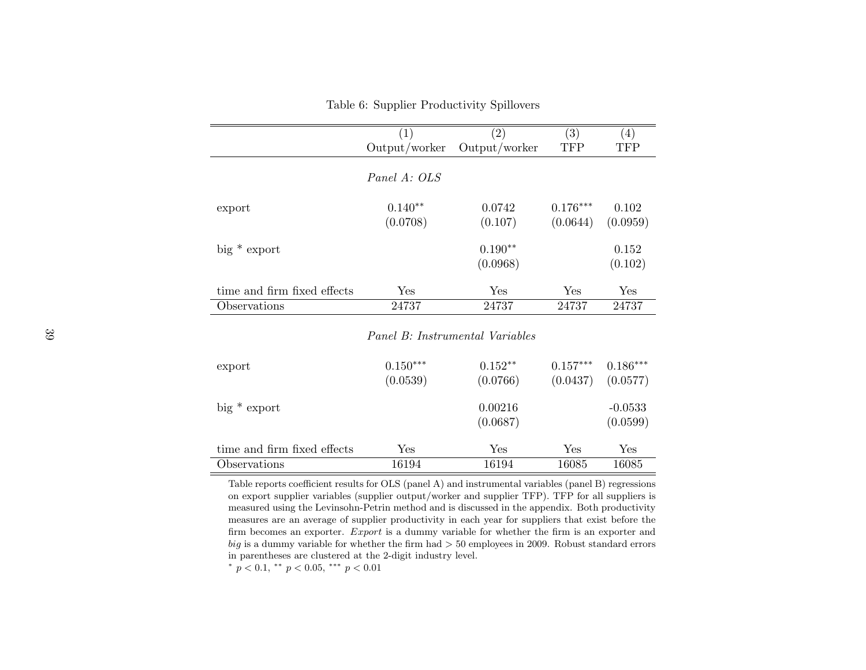$(1)$   $(2)$   $(3)$   $(4)$ **TFP** Output/worker Output/worker TFP Panel A: OLSexport 0.140∗∗ 0.0742 0.176∗∗∗ 0.102 $(0.0959)$  $(0.0708)$   $(0.107)$   $(0.0644)$ big \* export 0.190<sup>∗∗</sup> 0.152  $(0.102)$  $(0.0968)$ time and firm fixed effects Yes Yes Yes Yes24737 Observations 24737 24737 24737 24737Panel B: Instrumental Variables

| Table 6: Supplier Productivity Spillovers |  |  |
|-------------------------------------------|--|--|
|                                           |  |  |

| export                      | $0.150***$<br>(0.0539) | $0.152**$<br>(0.0766) | $0.157***$<br>(0.0437) | $0.186***$<br>(0.0577) |
|-----------------------------|------------------------|-----------------------|------------------------|------------------------|
| $big*$ export               |                        | 0.00216<br>(0.0687)   |                        | $-0.0533$<br>(0.0599)  |
| time and firm fixed effects | $\operatorname{Yes}$   | Yes                   | ${\rm Yes}$            | Yes                    |
| Observations                | 16194                  | 16194                 | 16085                  | 16085                  |

<span id="page-40-0"></span>Table reports coefficient results for OLS (panel A) and instrumental variables (panel B) regressions on export supplier variables (supplier output/worker and supplier TFP). TFP for all suppliers is measured using the Levinsohn-Petrin method and is discussed in the appendix. Both productivity measures are an average of supplier productivity in each year for suppliers that exist before thefirm becomes an exporter. *Export* is a dummy variable for whether the firm is an exporter and big is a dummy variable for whether the firm had  $> 50$  employees in 2009. Robust standard errors in parentheses are clustered at the 2-digit industry level.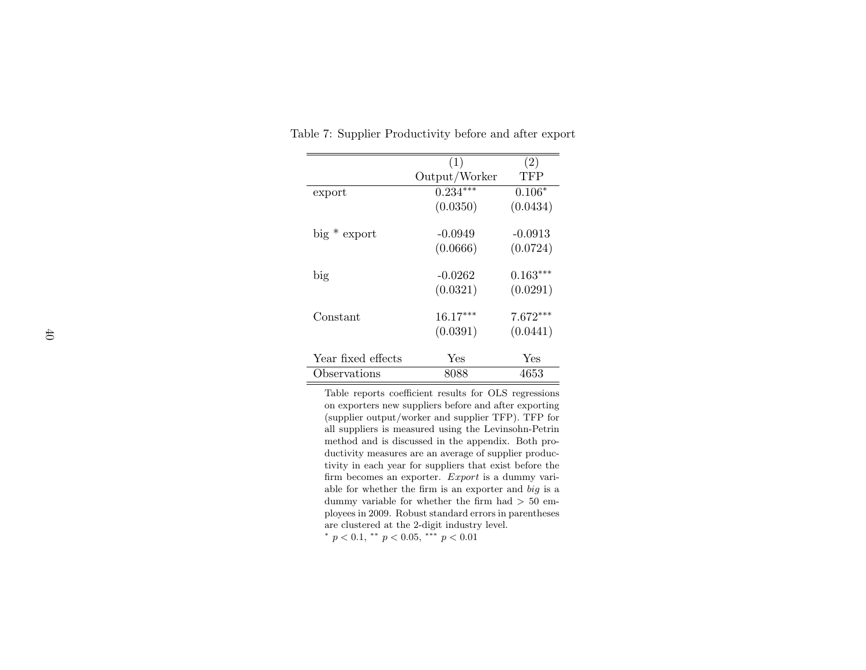|                    | (1)           | (2)        |
|--------------------|---------------|------------|
|                    | Output/Worker | TFP        |
| export             | $0.234***$    | $0.106*$   |
|                    | (0.0350)      | (0.0434)   |
|                    |               |            |
| $big*$ export      | $-0.0949$     | $-0.0913$  |
|                    | (0.0666)      | (0.0724)   |
| big                | $-0.0262$     | $0.163***$ |
|                    |               |            |
|                    | (0.0321)      | (0.0291)   |
| Constant           | $16.17***$    | $7.672***$ |
|                    | (0.0391)      | (0.0441)   |
|                    |               |            |
| Year fixed effects | Yes           | Yes        |
| Observations       | 8088          | 4653       |

Table 7: Supplier Productivity before and after export

<span id="page-41-0"></span>Table reports coefficient results for OLS regressions on exporters new suppliers before and after exporting (supplier output/worker and supplier TFP). TFP for all suppliers is measured using the Levinsohn-Petrin method and is discussed in the appendix. Both productivity measures are an average of supplier productivity in each year for suppliers that exist before thefirm becomes an exporter. Export is a dummy variable for whether the firm is an exporter and big is <sup>a</sup> dummy variable for whether the firm had  $> 50$  em ployees in 2009. Robust standard errors in parenthesesare clustered at the 2-digit industry level.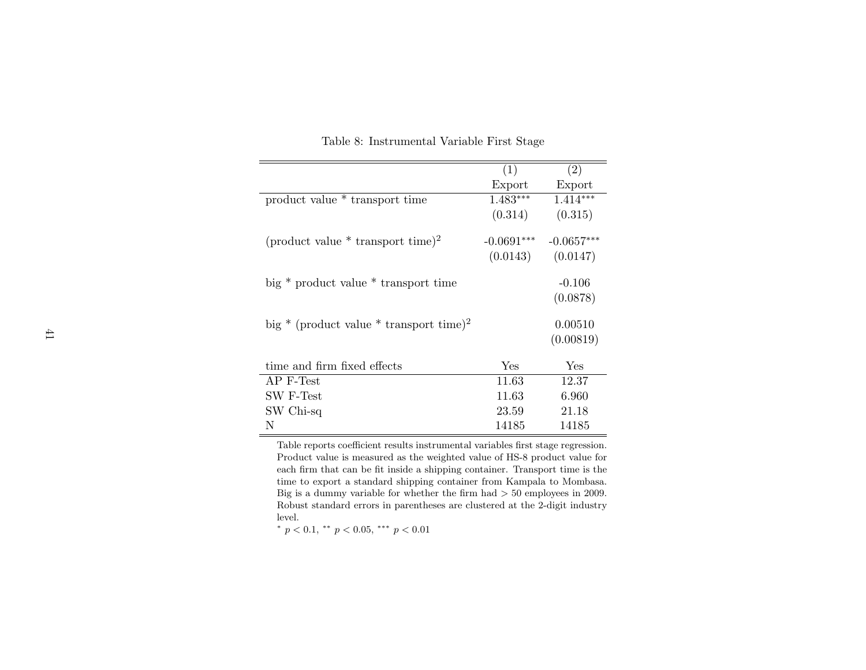|                                                     | (1)          | (2)          |
|-----------------------------------------------------|--------------|--------------|
|                                                     | Export       | Export       |
| product value * transport time                      | $1.483***$   | $1.414***$   |
|                                                     | (0.314)      | (0.315)      |
| (product value $*$ transport time) <sup>2</sup>     | $-0.0691***$ | $-0.0657***$ |
|                                                     | (0.0143)     | (0.0147)     |
| big * product value * transport time                |              | $-0.106$     |
|                                                     |              | (0.0878)     |
| big * (product value * transport time) <sup>2</sup> |              | 0.00510      |
|                                                     |              | (0.00819)    |
| time and firm fixed effects                         | Yes          | Yes          |
| AP F-Test                                           | 11.63        | 12.37        |
| SW F-Test                                           | 11.63        | 6.960        |
| SW Chi-sq                                           | 23.59        | 21.18        |
| N                                                   | 14185        | 14185        |

Table 8: Instrumental Variable First Stage

<span id="page-42-0"></span>Table reports coefficient results instrumental variables first stage regression. Product value is measured as the weighted value of HS-8 product value for each firm that can be fit inside <sup>a</sup> shipping container. Transport time is the time to export <sup>a</sup> standard shipping container from Kampala to Mombasa.Big is a dummy variable for whether the firm had  $> 50$  employees in 2009. Robust standard errors in parentheses are clustered at the 2-digit industrylevel.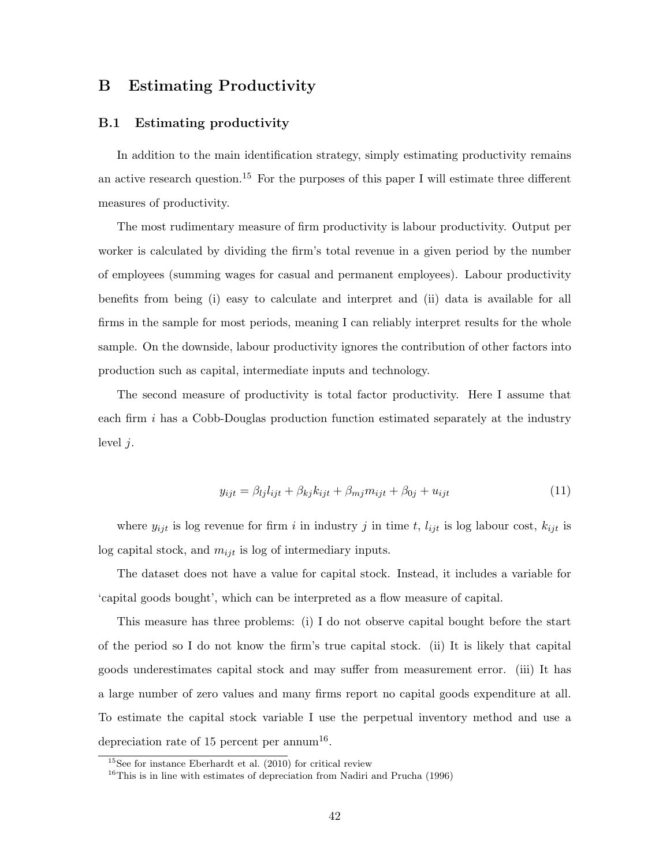## B Estimating Productivity

#### B.1 Estimating productivity

In addition to the main identification strategy, simply estimating productivity remains an active research question.<sup>[15](#page-43-0)</sup> For the purposes of this paper I will estimate three different measures of productivity.

The most rudimentary measure of firm productivity is labour productivity. Output per worker is calculated by dividing the firm's total revenue in a given period by the number of employees (summing wages for casual and permanent employees). Labour productivity benefits from being (i) easy to calculate and interpret and (ii) data is available for all firms in the sample for most periods, meaning I can reliably interpret results for the whole sample. On the downside, labour productivity ignores the contribution of other factors into production such as capital, intermediate inputs and technology.

The second measure of productivity is total factor productivity. Here I assume that each firm i has a Cobb-Douglas production function estimated separately at the industry level  $j$ .

<span id="page-43-2"></span>
$$
y_{ijt} = \beta_{lj} l_{ijt} + \beta_{kj} k_{ijt} + \beta_{mj} m_{ijt} + \beta_{0j} + u_{ijt}
$$
\n(11)

where  $y_{ijt}$  is log revenue for firm i in industry j in time t,  $l_{ijt}$  is log labour cost,  $k_{ijt}$  is log capital stock, and  $m_{ijt}$  is log of intermediary inputs.

The dataset does not have a value for capital stock. Instead, it includes a variable for 'capital goods bought', which can be interpreted as a flow measure of capital.

This measure has three problems: (i) I do not observe capital bought before the start of the period so I do not know the firm's true capital stock. (ii) It is likely that capital goods underestimates capital stock and may suffer from measurement error. (iii) It has a large number of zero values and many firms report no capital goods expenditure at all. To estimate the capital stock variable I use the perpetual inventory method and use a depreciation rate of 15 percent per annum<sup>[16](#page-43-1)</sup>.

<span id="page-43-0"></span><sup>15</sup>See for instance [Eberhardt et al.](#page-33-10) [\(2010\)](#page-33-10) for critical review

<span id="page-43-1"></span> $16$ This is in line with estimates of depreciation from [Nadiri and Prucha](#page-35-10) [\(1996\)](#page-35-10)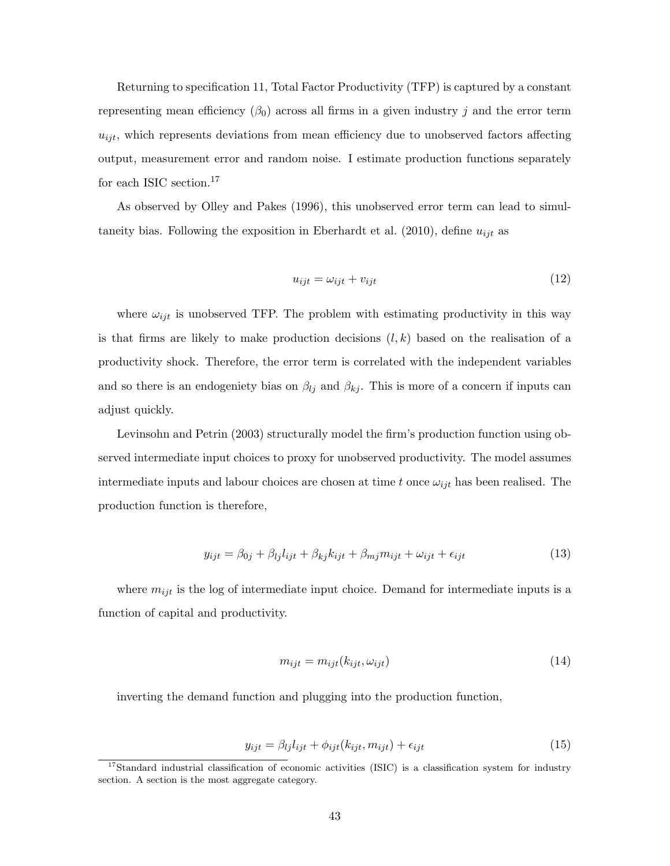Returning to specification [11,](#page-43-2) Total Factor Productivity (TFP) is captured by a constant representing mean efficiency  $(\beta_0)$  across all firms in a given industry j and the error term  $u_{ijt}$ , which represents deviations from mean efficiency due to unobserved factors affecting output, measurement error and random noise. I estimate production functions separately for each ISIC section.  $^{17}$  $^{17}$  $^{17}$ 

As observed by [Olley and Pakes](#page-35-11) [\(1996\)](#page-35-11), this unobserved error term can lead to simul-taneity bias. Following the exposition in [Eberhardt et al.](#page-33-10)  $(2010)$ , define  $u_{ijt}$  as

$$
u_{ijt} = \omega_{ijt} + v_{ijt} \tag{12}
$$

where  $\omega_{ijt}$  is unobserved TFP. The problem with estimating productivity in this way is that firms are likely to make production decisions  $(l, k)$  based on the realisation of a productivity shock. Therefore, the error term is correlated with the independent variables and so there is an endogeniety bias on  $\beta_{lj}$  and  $\beta_{kj}$ . This is more of a concern if inputs can adjust quickly.

[Levinsohn and Petrin](#page-34-11) [\(2003\)](#page-34-11) structurally model the firm's production function using observed intermediate input choices to proxy for unobserved productivity. The model assumes intermediate inputs and labour choices are chosen at time t once  $\omega_{ijt}$  has been realised. The production function is therefore,

$$
y_{ijt} = \beta_{0j} + \beta_{lj}l_{ijt} + \beta_{kj}k_{ijt} + \beta_{mj}m_{ijt} + \omega_{ijt} + \epsilon_{ijt}
$$
\n(13)

where  $m_{ijt}$  is the log of intermediate input choice. Demand for intermediate inputs is a function of capital and productivity.

$$
m_{ijt} = m_{ijt}(k_{ijt}, \omega_{ijt})
$$
\n<sup>(14)</sup>

inverting the demand function and plugging into the production function,

$$
y_{ijt} = \beta_{lj} l_{ijt} + \phi_{ijt}(k_{ijt}, m_{ijt}) + \epsilon_{ijt}
$$
\n(15)

<span id="page-44-0"></span> $17$ Standard industrial classification of economic activities (ISIC) is a classification system for industry section. A section is the most aggregate category.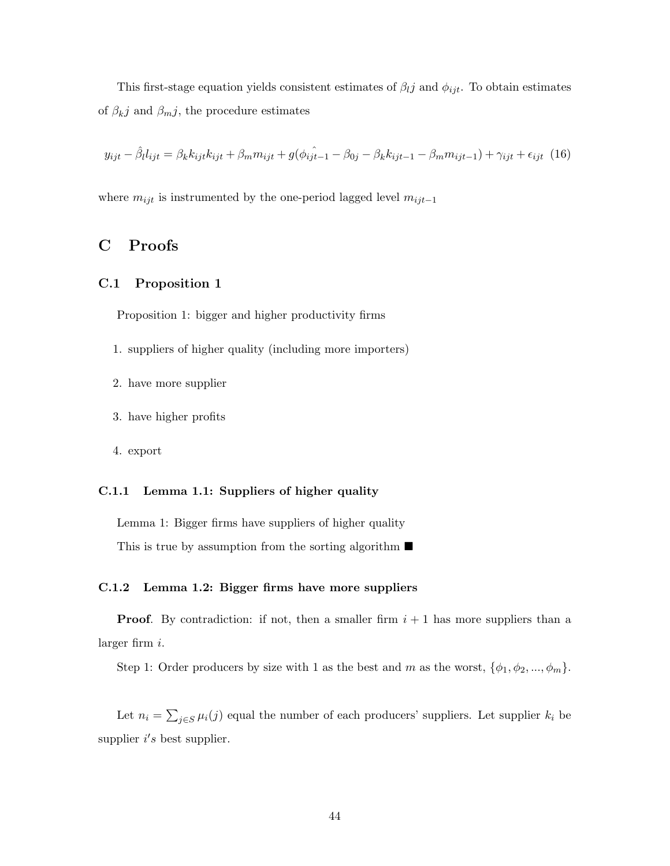This first-stage equation yields consistent estimates of  $\beta_{ij}$  and  $\phi_{ijt}$ . To obtain estimates of  $\beta_{kj}$  and  $\beta_{m}j$ , the procedure estimates

$$
y_{ijt} - \hat{\beta}_{l} l_{ijt} = \beta_{k} k_{ijt} k_{ijt} + \beta_{m} m_{ijt} + g(\phi_{ij} \hat{i}_{t-1} - \beta_{0j} - \beta_{k} k_{ijt-1} - \beta_{m} m_{ijt-1}) + \gamma_{ijt} + \epsilon_{ijt} (16)
$$

where  $m_{ijt}$  is instrumented by the one-period lagged level  $m_{ijt-1}$ 

## <span id="page-45-0"></span>C Proofs

#### C.1 Proposition 1

Proposition 1: bigger and higher productivity firms

- 1. suppliers of higher quality (including more importers)
- 2. have more supplier
- 3. have higher profits
- 4. export

#### C.1.1 Lemma 1.1: Suppliers of higher quality

Lemma 1: Bigger firms have suppliers of higher quality This is true by assumption from the sorting algorithm  $\blacksquare$ 

#### C.1.2 Lemma 1.2: Bigger firms have more suppliers

**Proof.** By contradiction: if not, then a smaller firm  $i + 1$  has more suppliers than a larger firm i.

Step 1: Order producers by size with 1 as the best and m as the worst,  $\{\phi_1, \phi_2, ..., \phi_m\}$ .

Let  $n_i = \sum_{j \in S} \mu_i(j)$  equal the number of each producers' suppliers. Let supplier  $k_i$  be supplier  $i's$  best supplier.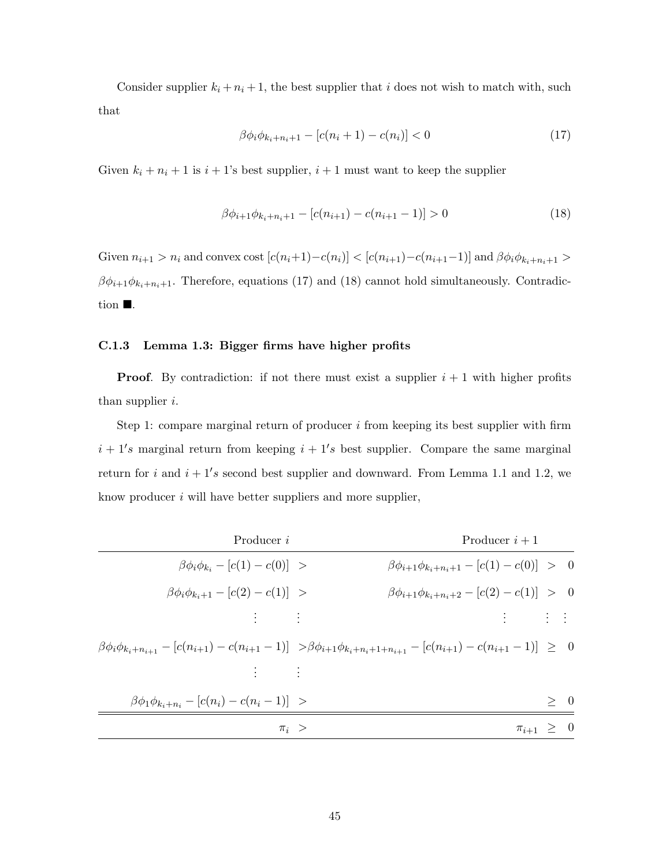Consider supplier  $k_i + n_i + 1$ , the best supplier that i does not wish to match with, such that

<span id="page-46-0"></span>
$$
\beta \phi_i \phi_{k_i + n_i + 1} - [c(n_i + 1) - c(n_i)] < 0 \tag{17}
$$

Given  $k_i + n_i + 1$  is  $i + 1$ 's best supplier,  $i + 1$  must want to keep the supplier

<span id="page-46-1"></span>
$$
\beta \phi_{i+1} \phi_{k_i + n_i + 1} - [c(n_{i+1}) - c(n_{i+1} - 1)] > 0 \tag{18}
$$

Given  $n_{i+1} > n_i$  and convex cost  $[c(n_i+1)-c(n_i)] < [c(n_{i+1})-c(n_{i+1}-1)]$  and  $\beta \phi_i \phi_{k_i+n_i+1} >$  $\beta \phi_{i+1} \phi_{k_i+n_i+1}$ . Therefore, equations [\(17\)](#page-46-0) and [\(18\)](#page-46-1) cannot hold simultaneously. Contradiction  $\blacksquare$ .

#### C.1.3 Lemma 1.3: Bigger firms have higher profits

**Proof.** By contradiction: if not there must exist a supplier  $i + 1$  with higher profits than supplier  $i$ .

Step 1: compare marginal return of producer  $i$  from keeping its best supplier with firm  $i + 1$ 's marginal return from keeping  $i + 1$ 's best supplier. Compare the same marginal return for i and  $i + 1's$  second best supplier and downward. From Lemma 1.1 and 1.2, we know producer  $i$  will have better suppliers and more supplier,

|                    | Producer $i+1$                                                                                                                                   | Producer i                                          |
|--------------------|--------------------------------------------------------------------------------------------------------------------------------------------------|-----------------------------------------------------|
|                    | $\beta\phi_{i+1}\phi_{k_i+n_i+1} - [c(1) - c(0)] > 0$                                                                                            | $\beta \phi_i \phi_{k_i} - [c(1) - c(0)] >$         |
|                    | $\beta\phi_{i+1}\phi_{k_i+n_i+2} - [c(2) - c(1)] > 0$                                                                                            | $\beta\phi_i\phi_{k_i+1} - [c(2) - c(1)] >$         |
|                    | <b>The Home Hold</b>                                                                                                                             | 生命 主                                                |
|                    | $\beta \phi_i \phi_{k_i+n_{i+1}} - [c(n_{i+1}) - c(n_{i+1}-1)] > \beta \phi_{i+1} \phi_{k_i+n_i+1+n_{i+1}} - [c(n_{i+1}) - c(n_{i+1}-1)] \geq 0$ |                                                     |
|                    |                                                                                                                                                  | $\mathcal{A} = \mathcal{A}$                         |
| > 0                |                                                                                                                                                  | $\beta\phi_1\phi_{k_i+n_i} - [c(n_i) - c(n_i-1)] >$ |
| $\pi_{i+1} \geq 0$ |                                                                                                                                                  | $\pi_i$ >                                           |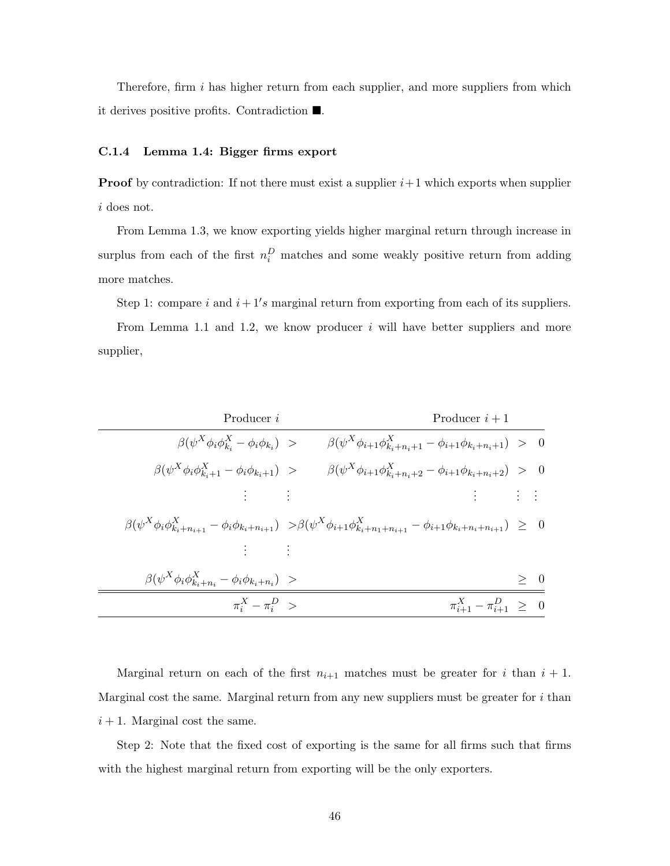Therefore, firm i has higher return from each supplier, and more suppliers from which it derives positive profits. Contradiction  $\blacksquare$ .

#### C.1.4 Lemma 1.4: Bigger firms export

**Proof** by contradiction: If not there must exist a supplier  $i+1$  which exports when supplier i does not.

From Lemma 1.3, we know exporting yields higher marginal return through increase in surplus from each of the first  $n_i^D$  matches and some weakly positive return from adding more matches.

Step 1: compare i and  $i + 1's$  marginal return from exporting from each of its suppliers.

From Lemma 1.1 and 1.2, we know producer  $i$  will have better suppliers and more supplier,

| Producer i                                                                            | Producer $i+1$                                                                                                                                                         |     |
|---------------------------------------------------------------------------------------|------------------------------------------------------------------------------------------------------------------------------------------------------------------------|-----|
| $\beta(\psi^X \phi_i \phi_{k}^X - \phi_i \phi_{k_i}) >$                               | $\beta(\psi^X \phi_{i+1} \phi_{k_i+n_i+1}^X - \phi_{i+1} \phi_{k_i+n_i+1}) > 0$                                                                                        |     |
| $\beta(\psi^X \phi_i \phi_{k_i+1}^X - \phi_i \phi_{k_i+1}) >$                         | $\beta(\psi^X \phi_{i+1} \phi_{k_i+n_i+2}^X - \phi_{i+1} \phi_{k_i+n_i+2}) > 0$                                                                                        |     |
| 이번에 이번 것                                                                              | 그는 어떻게 되었다.                                                                                                                                                            |     |
|                                                                                       | $\beta(\psi^X \phi_i \phi_{k_i+n_{i+1}}^X - \phi_i \phi_{k_i+n_{i+1}}) > \beta(\psi^X \phi_{i+1} \phi_{k_i+n_1+n_{i+1}}^X - \phi_{i+1} \phi_{k_i+n_i+n_{i+1}}) \geq 0$ |     |
| $\mathcal{L}=\frac{1}{2}$ and $\mathcal{L}=\frac{1}{2}$ and $\mathcal{L}=\frac{1}{2}$ |                                                                                                                                                                        |     |
| $\beta(\psi^X \phi_i \phi_{k_i+n_i}^X - \phi_i \phi_{k_i+n_i}) >$                     |                                                                                                                                                                        | > 0 |
| $\pi_i^X - \pi_i^D >$                                                                 | $\pi_{i+1}^X - \pi_{i+1}^D \geq 0$                                                                                                                                     |     |

Marginal return on each of the first  $n_{i+1}$  matches must be greater for i than  $i + 1$ . Marginal cost the same. Marginal return from any new suppliers must be greater for  $i$  than  $i + 1$ . Marginal cost the same.

Step 2: Note that the fixed cost of exporting is the same for all firms such that firms with the highest marginal return from exporting will be the only exporters.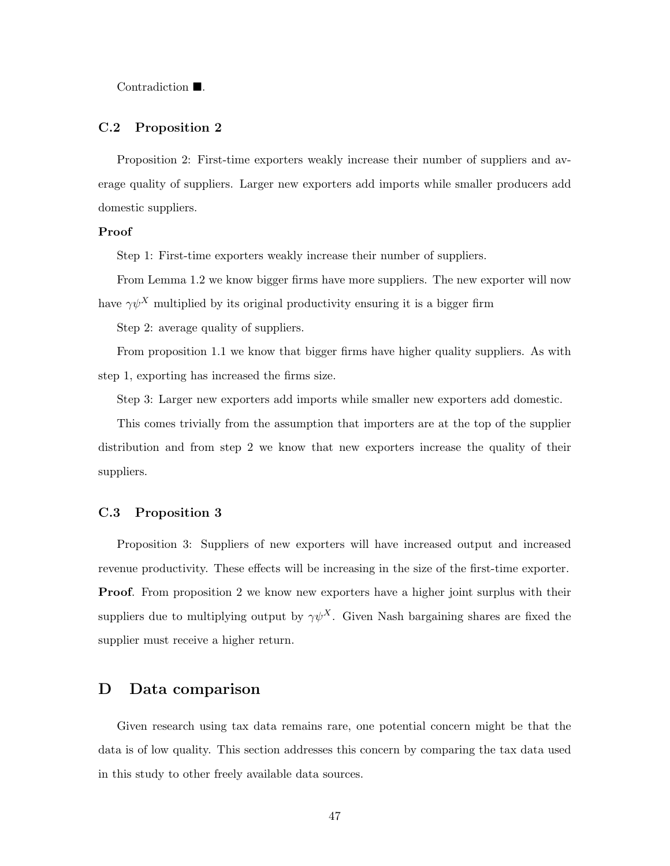Contradiction  $\blacksquare$ .

#### C.2 Proposition 2

Proposition 2: First-time exporters weakly increase their number of suppliers and average quality of suppliers. Larger new exporters add imports while smaller producers add domestic suppliers.

#### Proof

Step 1: First-time exporters weakly increase their number of suppliers.

From Lemma 1.2 we know bigger firms have more suppliers. The new exporter will now have  $\gamma \psi^X$  multiplied by its original productivity ensuring it is a bigger firm

Step 2: average quality of suppliers.

From proposition 1.1 we know that bigger firms have higher quality suppliers. As with step 1, exporting has increased the firms size.

Step 3: Larger new exporters add imports while smaller new exporters add domestic.

This comes trivially from the assumption that importers are at the top of the supplier distribution and from step 2 we know that new exporters increase the quality of their suppliers.

#### C.3 Proposition 3

Proposition 3: Suppliers of new exporters will have increased output and increased revenue productivity. These effects will be increasing in the size of the first-time exporter. **Proof.** From proposition 2 we know new exporters have a higher joint surplus with their suppliers due to multiplying output by  $\gamma \psi^X$ . Given Nash bargaining shares are fixed the supplier must receive a higher return.

### <span id="page-48-0"></span>D Data comparison

Given research using tax data remains rare, one potential concern might be that the data is of low quality. This section addresses this concern by comparing the tax data used in this study to other freely available data sources.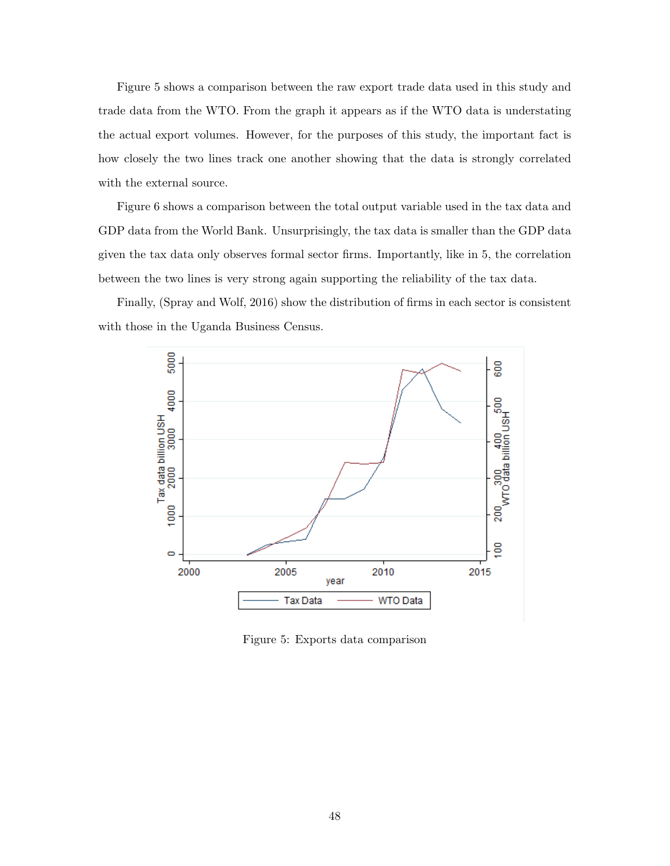Figure [5](#page-49-0) shows a comparison between the raw export trade data used in this study and trade data from the WTO. From the graph it appears as if the WTO data is understating the actual export volumes. However, for the purposes of this study, the important fact is how closely the two lines track one another showing that the data is strongly correlated with the external source.

Figure [6](#page-50-1) shows a comparison between the total output variable used in the tax data and GDP data from the World Bank. Unsurprisingly, the tax data is smaller than the GDP data given the tax data only observes formal sector firms. Importantly, like in [5,](#page-49-0) the correlation between the two lines is very strong again supporting the reliability of the tax data.

<span id="page-49-0"></span>Finally, [\(Spray and Wolf,](#page-35-8) [2016\)](#page-35-8) show the distribution of firms in each sector is consistent with those in the Uganda Business Census.



Figure 5: Exports data comparison